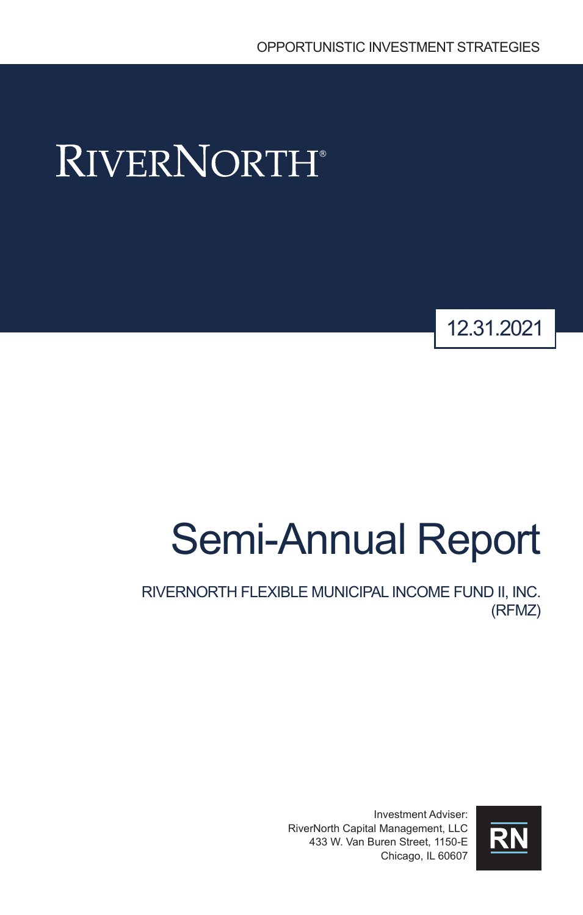# **RIVERNORTH®**



# Semi-Annual Report

RIVERNORTH FLEXIBLE MUNICIPAL INCOME FUND II, INC. (RFMZ)

> Investment Adviser: RiverNorth Capital Management, LLC 433 W. Van Buren Street, 1150-E Chicago, IL 60607

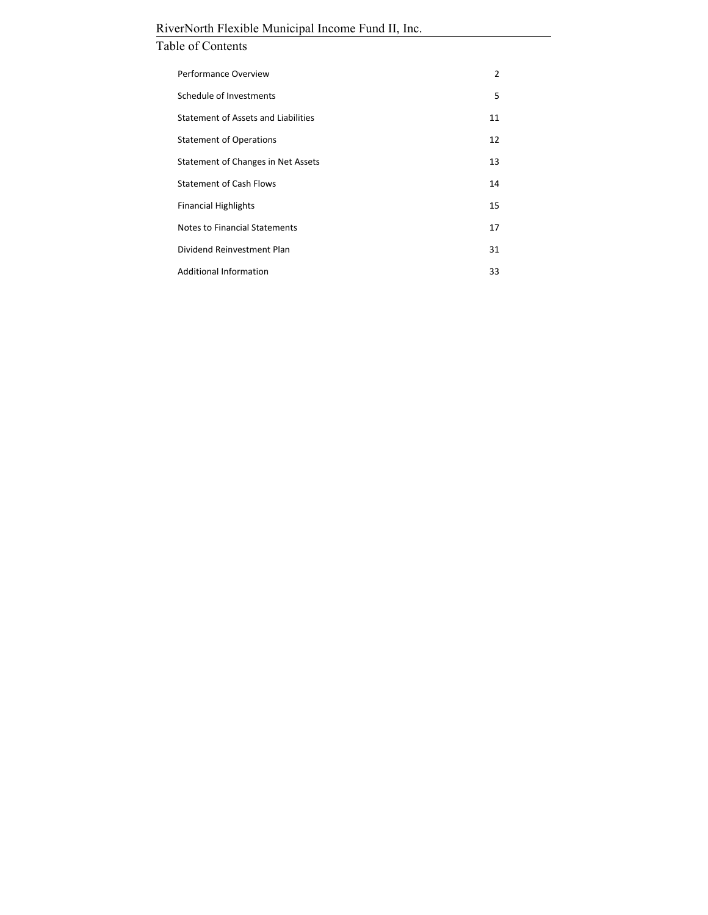# Table of Contents

| Performance Overview                | 2  |
|-------------------------------------|----|
| Schedule of Investments             | 5  |
| Statement of Assets and Liabilities | 11 |
| <b>Statement of Operations</b>      | 12 |
| Statement of Changes in Net Assets  | 13 |
| <b>Statement of Cash Flows</b>      | 14 |
| <b>Financial Highlights</b>         | 15 |
| Notes to Financial Statements       | 17 |
| Dividend Reinvestment Plan          | 31 |
| <b>Additional Information</b>       | 33 |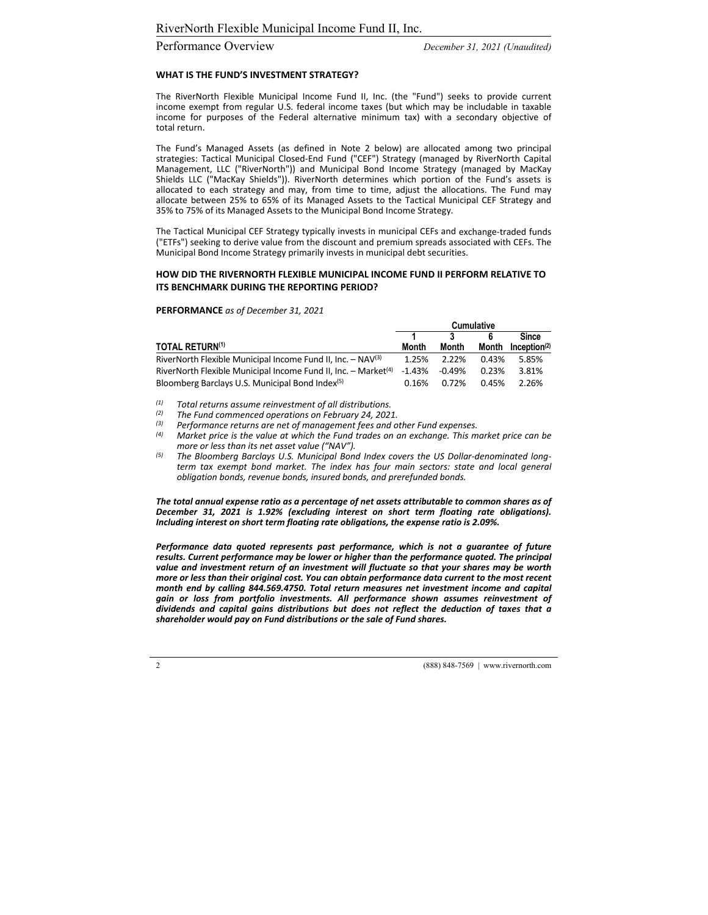#### Performance Overview *December 31, 2021 (Unaudited)*

#### **WHAT IS THE FUND'S INVESTMENT STRATEGY?**

The RiverNorth Flexible Municipal Income Fund II, Inc. (the "Fund") seeks to provide current income exempt from regular U.S. federal income taxes (but which may be includable in taxable income for purposes of the Federal alternative minimum tax) with a secondary objective of total return.

The Fund's Managed Assets (as defined in Note 2 below) are allocated among two principal strategies: Tactical Municipal Closed‐End Fund ("CEF") Strategy (managed by RiverNorth Capital Management, LLC ("RiverNorth")) and Municipal Bond Income Strategy (managed by MacKay Shields LLC ("MacKay Shields")). RiverNorth determines which portion of the Fund's assets is allocated to each strategy and may, from time to time, adjust the allocations. The Fund may allocate between 25% to 65% of its Managed Assets to the Tactical Municipal CEF Strategy and 35% to 75% of its Managed Assets to the Municipal Bond Income Strategy.

The Tactical Municipal CEF Strategy typically invests in municipal CEFs and exchange‐traded funds ("ETFs") seeking to derive value from the discount and premium spreads associated with CEFs. The Municipal Bond Income Strategy primarily invests in municipal debt securities.

#### **HOW DID THE RIVERNORTH FLEXIBLE MUNICIPAL INCOME FUND II PERFORM RELATIVE TO ITS BENCHMARK DURING THE REPORTING PERIOD?**

#### **PERFORMANCE** *as of December 31, 2021*

|                                                                              | <b>Cumulative</b> |          |       |                          |
|------------------------------------------------------------------------------|-------------------|----------|-------|--------------------------|
|                                                                              |                   | 2        |       | <b>Since</b>             |
| <b>TOTAL RETURN(1)</b>                                                       | Month             | Month    | Month | Inception <sup>(2)</sup> |
| RiverNorth Flexible Municipal Income Fund II, Inc. - NAV(3)                  | 1.25%             | 2.22%    | 0.43% | 5.85%                    |
| RiverNorth Flexible Municipal Income Fund II, Inc. $-$ Market <sup>(4)</sup> | -1.43%            | $-0.49%$ | 0.23% | 3.81%                    |
| Bloomberg Barclays U.S. Municipal Bond Index <sup>(5)</sup>                  | 0.16%             | 0.72%    | 0.45% | 2.26%                    |

*(1) Total returns assume reinvestment of all distributions.*

*(2) The Fund commenced operations on February 24, 2021.*

*(3) Performance returns are net of management fees and other Fund expenses.*

Market price is the value at which the Fund trades on an exchange. This market price can be *more or less than its net asset value ("NAV").*

*(5) The Bloomberg Barclays U.S. Municipal Bond Index covers the US Dollar‐denominated long‐ term tax exempt bond market. The index has four main sectors: state and local general obligation bonds, revenue bonds, insured bonds, and prerefunded bonds.*

*The total annual expense ratio as a percentage of net assets attributable to common shares as of December 31, 2021 is 1.92% (excluding interest on short term floating rate obligations). Including interest on short term floating rate obligations, the expense ratio is 2.09%.*

*Performance data quoted represents past performance, which is not a guarantee of future results. Current performance may be lower or higher than the performance quoted. The principal value and investment return of an investment will fluctuate so that your shares may be worth more or less than their original cost. You can obtain performance data current to the most recent month end by calling 844.569.4750. Total return measures net investment income and capital gain or loss from portfolio investments. All performance shown assumes reinvestment of dividends and capital gains distributions but does not reflect the deduction of taxes that a shareholder would pay on Fund distributions or the sale of Fund shares.*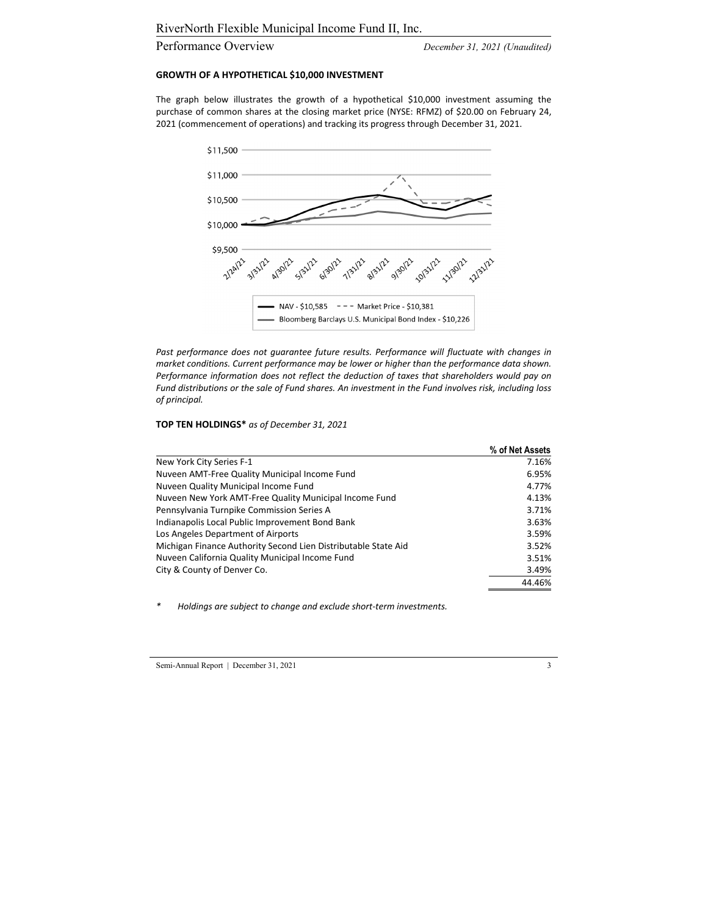#### Performance Overview *December 31, 2021 (Unaudited)*

#### **GROWTH OF A HYPOTHETICAL \$10,000 INVESTMENT**

The graph below illustrates the growth of a hypothetical \$10,000 investment assuming the purchase of common shares at the closing market price (NYSE: RFMZ) of \$20.00 on February 24, 2021 (commencement of operations) and tracking its progress through December 31, 2021.



*Past performance does not guarantee future results. Performance will fluctuate with changes in market conditions. Current performance may be lower or higher than the performance data shown. Performance information does not reflect the deduction of taxes that shareholders would pay on Fund distributions or the sale of Fund shares. An investment in the Fund involves risk, including loss of principal.*

#### **TOP TEN HOLDINGS\*** *as of December 31, 2021*

|                                                                | % of Net Assets |
|----------------------------------------------------------------|-----------------|
| New York City Series F-1                                       | 7.16%           |
| Nuveen AMT-Free Quality Municipal Income Fund                  | 6.95%           |
| Nuveen Quality Municipal Income Fund                           | 4.77%           |
| Nuveen New York AMT-Free Quality Municipal Income Fund         | 4.13%           |
| Pennsylvania Turnpike Commission Series A                      | 3.71%           |
| Indianapolis Local Public Improvement Bond Bank                | 3.63%           |
| Los Angeles Department of Airports                             | 3.59%           |
| Michigan Finance Authority Second Lien Distributable State Aid | 3.52%           |
| Nuveen California Quality Municipal Income Fund                | 3.51%           |
| City & County of Denver Co.                                    | 3.49%           |
|                                                                | 44.46%          |
|                                                                |                 |

*\* Holdings are subject to change and exclude short‐term investments.*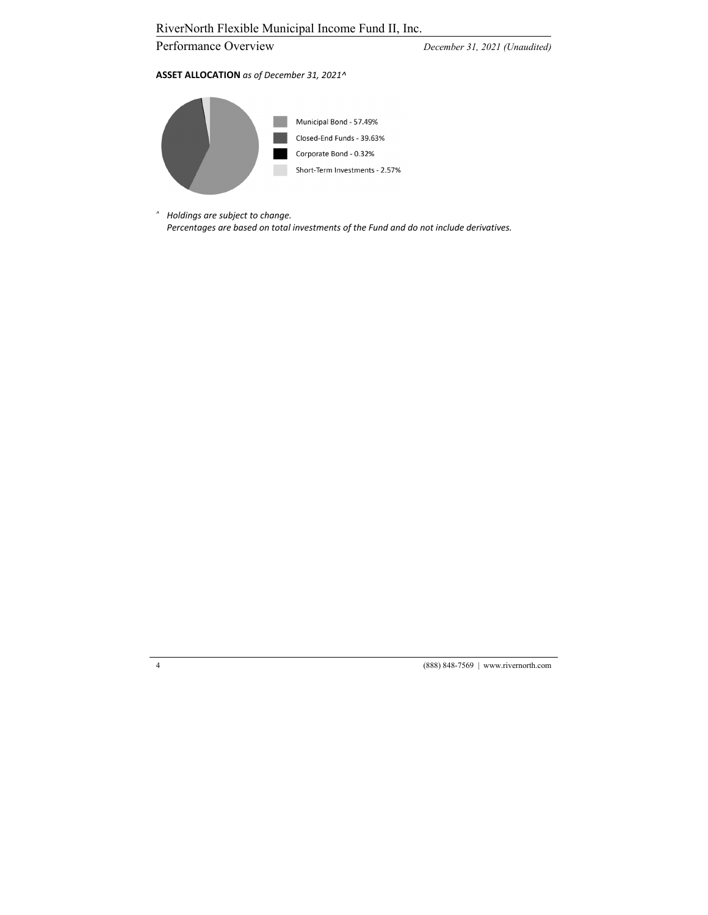Performance Overview *December 31, 2021 (Unaudited)* 

#### **ASSET ALLOCATION** *as of December 31, 2021^*



*^ Holdings are subject to change. Percentages are based on total investments of the Fund and do not include derivatives.*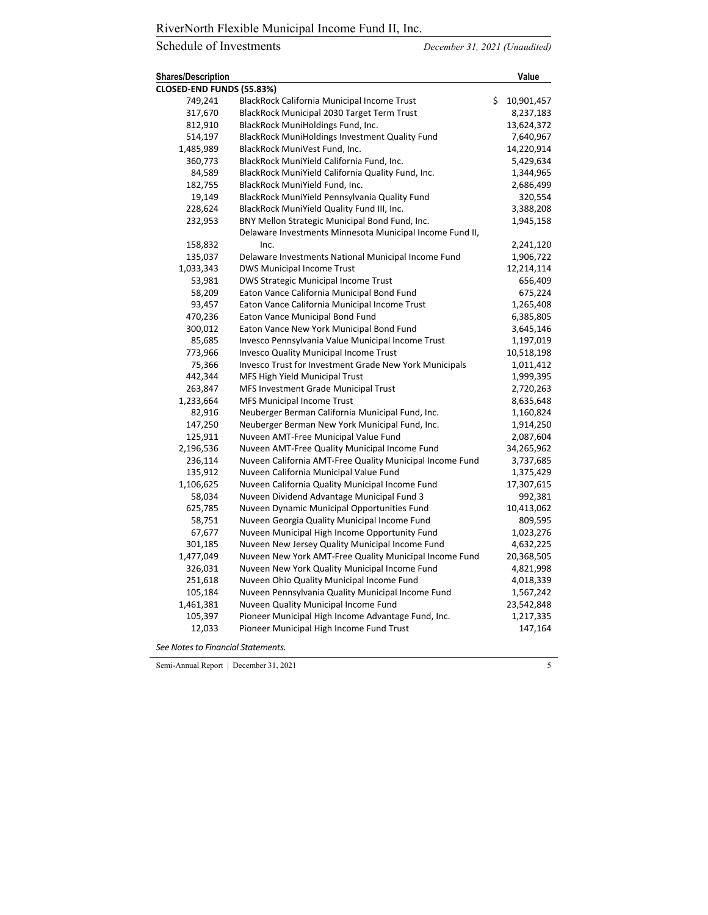# Schedule of Investments *December 31, 2021 (Unaudited)*

| <b>Shares/Description</b> |                                                               | Value            |
|---------------------------|---------------------------------------------------------------|------------------|
| CLOSED-END FUNDS (55.83%) |                                                               |                  |
| 749,241                   | <b>BlackRock California Municipal Income Trust</b>            | \$<br>10,901,457 |
| 317,670                   | BlackRock Municipal 2030 Target Term Trust                    | 8,237,183        |
| 812,910                   | BlackRock MuniHoldings Fund, Inc.                             | 13,624,372       |
| 514,197                   | BlackRock MuniHoldings Investment Quality Fund                | 7,640,967        |
| 1,485,989                 | BlackRock MuniVest Fund, Inc.                                 | 14,220,914       |
| 360,773                   | BlackRock MuniYield California Fund, Inc.                     | 5,429,634        |
| 84,589                    | BlackRock MuniYield California Quality Fund, Inc.             | 1,344,965        |
| 182,755                   | BlackRock MuniYield Fund, Inc.                                | 2,686,499        |
| 19,149                    | BlackRock MuniYield Pennsylvania Quality Fund                 | 320,554          |
| 228,624                   | BlackRock MuniYield Quality Fund III, Inc.                    | 3,388,208        |
| 232,953                   | BNY Mellon Strategic Municipal Bond Fund, Inc.                | 1,945,158        |
|                           | Delaware Investments Minnesota Municipal Income Fund II,      |                  |
| 158,832                   | Inc.                                                          | 2,241,120        |
| 135,037                   | Delaware Investments National Municipal Income Fund           | 1,906,722        |
| 1,033,343                 | <b>DWS Municipal Income Trust</b>                             | 12,214,114       |
| 53,981                    | DWS Strategic Municipal Income Trust                          | 656,409          |
| 58,209                    | Eaton Vance California Municipal Bond Fund                    | 675,224          |
| 93,457                    | Eaton Vance California Municipal Income Trust                 | 1,265,408        |
| 470,236                   | Eaton Vance Municipal Bond Fund                               | 6,385,805        |
| 300,012                   | Eaton Vance New York Municipal Bond Fund                      | 3,645,146        |
| 85,685                    | Invesco Pennsylvania Value Municipal Income Trust             | 1,197,019        |
| 773,966                   | Invesco Quality Municipal Income Trust                        | 10,518,198       |
| 75,366                    | <b>Invesco Trust for Investment Grade New York Municipals</b> | 1,011,412        |
| 442,344                   | MFS High Yield Municipal Trust                                | 1,999,395        |
| 263,847                   | MFS Investment Grade Municipal Trust                          | 2,720,263        |
| 1,233,664                 | MFS Municipal Income Trust                                    | 8,635,648        |
| 82,916                    | Neuberger Berman California Municipal Fund, Inc.              | 1,160,824        |
| 147,250                   | Neuberger Berman New York Municipal Fund, Inc.                | 1,914,250        |
| 125,911                   | Nuveen AMT-Free Municipal Value Fund                          | 2,087,604        |
| 2,196,536                 | Nuveen AMT-Free Quality Municipal Income Fund                 | 34,265,962       |
| 236,114                   | Nuveen California AMT-Free Quality Municipal Income Fund      | 3,737,685        |
| 135,912                   | Nuveen California Municipal Value Fund                        | 1,375,429        |
| 1,106,625                 | Nuveen California Quality Municipal Income Fund               | 17,307,615       |
| 58,034                    | Nuveen Dividend Advantage Municipal Fund 3                    | 992,381          |
| 625,785                   | Nuveen Dynamic Municipal Opportunities Fund                   | 10,413,062       |
| 58,751                    | Nuveen Georgia Quality Municipal Income Fund                  | 809,595          |
| 67,677                    | Nuveen Municipal High Income Opportunity Fund                 | 1,023,276        |
| 301,185                   | Nuveen New Jersey Quality Municipal Income Fund               | 4,632,225        |
| 1,477,049                 | Nuveen New York AMT-Free Quality Municipal Income Fund        | 20,368,505       |
| 326,031                   | Nuveen New York Quality Municipal Income Fund                 | 4,821,998        |
| 251,618                   | Nuveen Ohio Quality Municipal Income Fund                     | 4,018,339        |
| 105,184                   | Nuveen Pennsylvania Quality Municipal Income Fund             | 1,567,242        |
| 1,461,381                 | Nuveen Quality Municipal Income Fund                          | 23,542,848       |
| 105,397                   | Pioneer Municipal High Income Advantage Fund, Inc.            | 1,217,335        |
| 12,033                    | Pioneer Municipal High Income Fund Trust                      | 147,164          |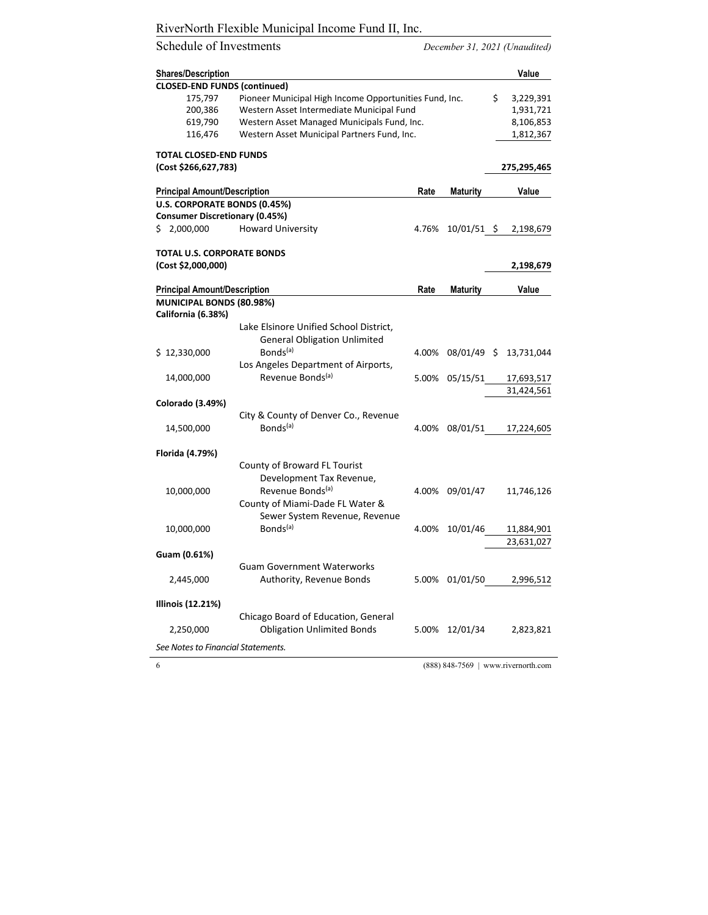# Schedule of Investments *December 31, 2021 (Unaudited)*

| <b>Shares/Description</b>             |                                                              |       |                 | Value           |
|---------------------------------------|--------------------------------------------------------------|-------|-----------------|-----------------|
| <b>CLOSED-END FUNDS (continued)</b>   |                                                              |       |                 |                 |
| 175,797                               | Pioneer Municipal High Income Opportunities Fund, Inc.       |       |                 | \$<br>3,229,391 |
| 200,386                               | Western Asset Intermediate Municipal Fund                    |       |                 | 1,931,721       |
| 619,790                               | Western Asset Managed Municipals Fund, Inc.                  |       |                 | 8,106,853       |
| 116,476                               | Western Asset Municipal Partners Fund, Inc.                  |       |                 | 1,812,367       |
| <b>TOTAL CLOSED-END FUNDS</b>         |                                                              |       |                 |                 |
| (Cost \$266,627,783)                  |                                                              |       |                 | 275,295,465     |
| <b>Principal Amount/Description</b>   |                                                              | Rate  | <b>Maturity</b> | Value           |
| U.S. CORPORATE BONDS (0.45%)          |                                                              |       |                 |                 |
| <b>Consumer Discretionary (0.45%)</b> |                                                              |       |                 |                 |
| \$2,000,000                           | <b>Howard University</b>                                     | 4.76% | $10/01/51$ \$   | 2,198,679       |
| <b>TOTAL U.S. CORPORATE BONDS</b>     |                                                              |       |                 |                 |
| (Cost \$2,000,000)                    |                                                              |       |                 | 2,198,679       |
| <b>Principal Amount/Description</b>   |                                                              | Rate  | <b>Maturity</b> | Value           |
| MUNICIPAL BONDS (80.98%)              |                                                              |       |                 |                 |
| California (6.38%)                    |                                                              |       |                 |                 |
|                                       | Lake Elsinore Unified School District,                       |       |                 |                 |
|                                       | <b>General Obligation Unlimited</b>                          |       |                 |                 |
| \$12,330,000                          | Bonds <sup>(a)</sup>                                         | 4.00% | $08/01/49$ \$   | 13,731,044      |
|                                       | Los Angeles Department of Airports,                          |       |                 |                 |
| 14,000,000                            | Revenue Bonds <sup>(a)</sup>                                 | 5.00% | 05/15/51        | 17,693,517      |
|                                       |                                                              |       |                 | 31,424,561      |
|                                       |                                                              |       |                 |                 |
| Colorado (3.49%)                      |                                                              |       |                 |                 |
|                                       | City & County of Denver Co., Revenue<br>Bonds <sup>(a)</sup> | 4.00% | 08/01/51        |                 |
| 14,500,000                            |                                                              |       |                 | 17,224,605      |
| Florida (4.79%)                       |                                                              |       |                 |                 |
|                                       | County of Broward FL Tourist                                 |       |                 |                 |
|                                       | Development Tax Revenue,                                     |       |                 |                 |
| 10,000,000                            | Revenue Bonds <sup>(a)</sup>                                 | 4.00% | 09/01/47        | 11,746,126      |
|                                       | County of Miami-Dade FL Water &                              |       |                 |                 |
|                                       | Sewer System Revenue, Revenue                                |       |                 |                 |
| 10,000,000                            | Bonds <sup>(a)</sup>                                         | 4.00% | 10/01/46        | 11,884,901      |
|                                       |                                                              |       |                 | 23,631,027      |
| Guam (0.61%)                          |                                                              |       |                 |                 |
|                                       | <b>Guam Government Waterworks</b>                            |       |                 |                 |
| 2,445,000                             | Authority, Revenue Bonds                                     | 5.00% | 01/01/50        | 2,996,512       |
|                                       |                                                              |       |                 |                 |
| Illinois (12.21%)                     |                                                              |       |                 |                 |
|                                       | Chicago Board of Education, General                          |       |                 |                 |
| 2,250,000                             | <b>Obligation Unlimited Bonds</b>                            | 5.00% | 12/01/34        | 2,823,821       |
|                                       |                                                              |       |                 |                 |
| See Notes to Financial Statements.    |                                                              |       |                 |                 |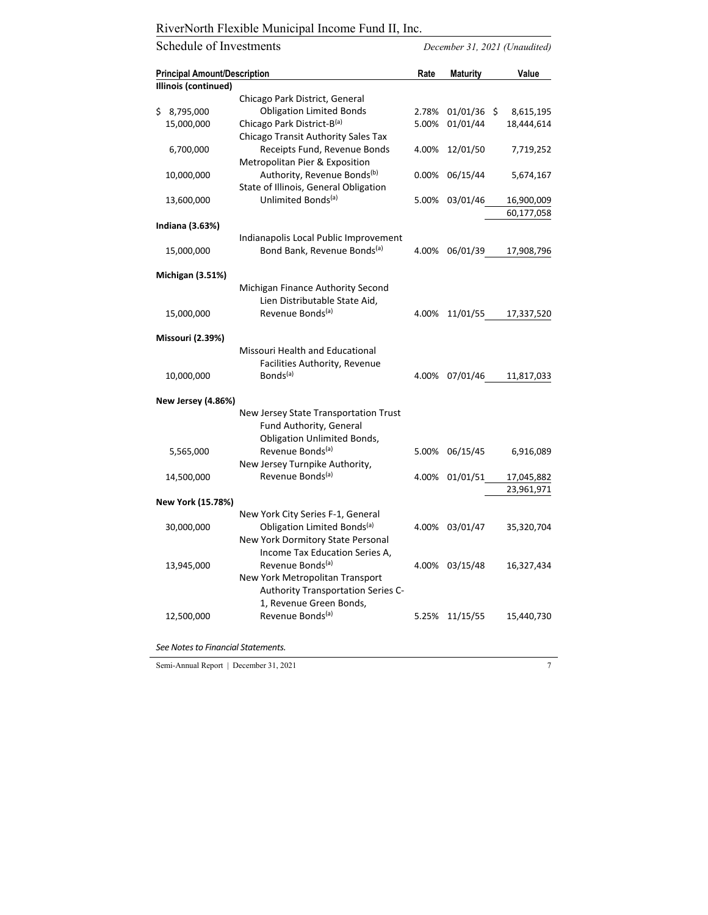Schedule of Investments *December 31, 2021 (Unaudited)* 

| <b>Principal Amount/Description</b> |                                                                              | Rate  | Maturity      | Value      |
|-------------------------------------|------------------------------------------------------------------------------|-------|---------------|------------|
| Illinois (continued)                |                                                                              |       |               |            |
|                                     | Chicago Park District, General                                               |       |               |            |
| 8,795,000<br>\$                     | <b>Obligation Limited Bonds</b>                                              | 2.78% | $01/01/36$ \$ | 8,615,195  |
| 15,000,000                          | Chicago Park District-B(a)                                                   | 5.00% | 01/01/44      | 18,444,614 |
|                                     | Chicago Transit Authority Sales Tax                                          |       |               |            |
| 6,700,000                           | Receipts Fund, Revenue Bonds                                                 | 4.00% | 12/01/50      | 7,719,252  |
|                                     | Metropolitan Pier & Exposition                                               |       |               |            |
| 10,000,000                          | Authority, Revenue Bonds <sup>(b)</sup>                                      | 0.00% | 06/15/44      | 5,674,167  |
|                                     | State of Illinois, General Obligation                                        |       |               |            |
| 13,600,000                          | Unlimited Bonds <sup>(a)</sup>                                               | 5.00% | 03/01/46      | 16,900,009 |
|                                     |                                                                              |       |               | 60,177,058 |
| Indiana (3.63%)                     |                                                                              |       |               |            |
|                                     | Indianapolis Local Public Improvement                                        |       |               |            |
| 15,000,000                          | Bond Bank, Revenue Bonds <sup>(a)</sup>                                      | 4.00% | 06/01/39      | 17,908,796 |
|                                     |                                                                              |       |               |            |
| Michigan (3.51%)                    |                                                                              |       |               |            |
|                                     | Michigan Finance Authority Second                                            |       |               |            |
|                                     | Lien Distributable State Aid,                                                |       |               |            |
| 15,000,000                          | Revenue Bonds <sup>(a)</sup>                                                 | 4.00% | 11/01/55      | 17,337,520 |
|                                     |                                                                              |       |               |            |
| <b>Missouri (2.39%)</b>             |                                                                              |       |               |            |
|                                     | Missouri Health and Educational                                              |       |               |            |
|                                     | Facilities Authority, Revenue                                                |       |               |            |
| 10,000,000                          | Bonds <sup>(a)</sup>                                                         | 4.00% | 07/01/46      | 11,817,033 |
|                                     |                                                                              |       |               |            |
| <b>New Jersey (4.86%)</b>           |                                                                              |       |               |            |
|                                     | New Jersey State Transportation Trust                                        |       |               |            |
|                                     | Fund Authority, General                                                      |       |               |            |
|                                     | <b>Obligation Unlimited Bonds,</b>                                           |       |               |            |
| 5,565,000                           | Revenue Bonds <sup>(a)</sup>                                                 | 5.00% | 06/15/45      | 6,916,089  |
|                                     | New Jersey Turnpike Authority,<br>Revenue Bonds <sup>(a)</sup>               |       |               |            |
| 14,500,000                          |                                                                              | 4.00% | 01/01/51      | 17,045,882 |
|                                     |                                                                              |       |               | 23,961,971 |
| New York (15.78%)                   |                                                                              |       |               |            |
|                                     | New York City Series F-1, General<br>Obligation Limited Bonds <sup>(a)</sup> |       |               |            |
| 30,000,000                          | New York Dormitory State Personal                                            | 4.00% | 03/01/47      | 35,320,704 |
|                                     | Income Tax Education Series A,                                               |       |               |            |
|                                     | Revenue Bonds <sup>(a)</sup>                                                 | 4.00% | 03/15/48      |            |
| 13,945,000                          |                                                                              |       |               | 16,327,434 |
|                                     | New York Metropolitan Transport                                              |       |               |            |
|                                     | Authority Transportation Series C-<br>1, Revenue Green Bonds,                |       |               |            |
|                                     | Revenue Bonds <sup>(a)</sup>                                                 |       |               |            |
| 12,500,000                          |                                                                              | 5.25% | 11/15/55      | 15,440,730 |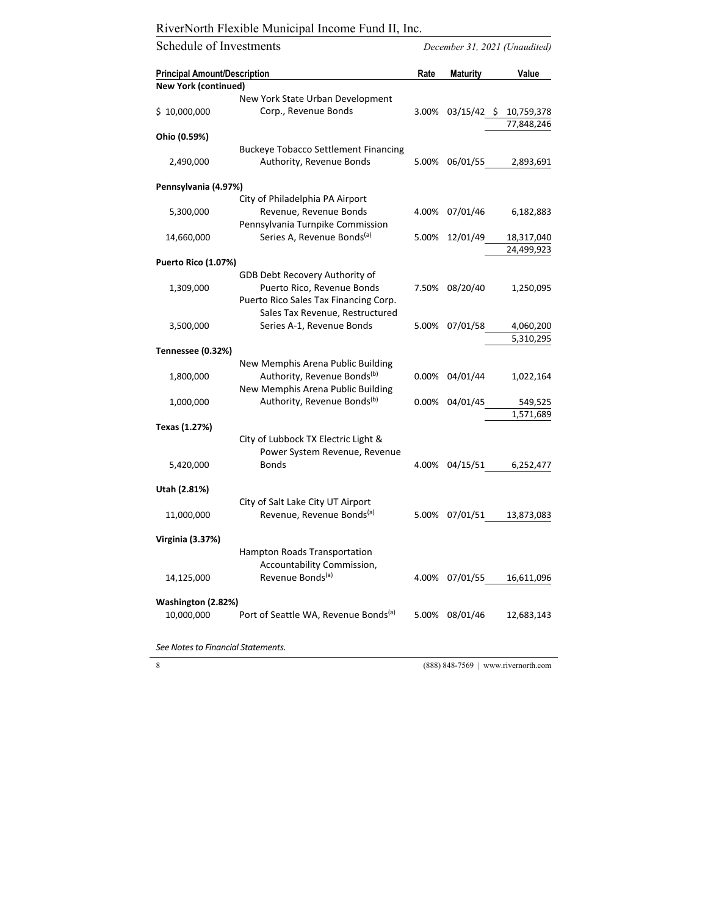Schedule of Investments *December 31, 2021 (Unaudited)*  **Principal Amount/Description Rate Maturity Value New York (continued)** \$ 10,000,000 New York State Urban Development Corp., Revenue Bonds 3.00% 03/15/42 \$ 10,759,378 77,848,246 **Ohio (0.59%)** 2,490,000 Buckeye Tobacco Settlement Financing Authority, Revenue Bonds 5.00% 06/01/55 2,893,691 **Pennsylvania (4.97%)** 5,300,000 City of Philadelphia PA Airport Revenue, Revenue Bonds 4.00% 07/01/46 6,182,883 14,660,000 Pennsylvania Turnpike Commission Series A, Revenue Bonds(a) 5.00% 12/01/49 18,317,040 24,499,923 **Puerto Rico (1.07%)** 1,309,000 GDB Debt Recovery Authority of Puerto Rico, Revenue Bonds 7.50% 08/20/40 1,250,095 3,500,000 Puerto Rico Sales Tax Financing Corp. Sales Tax Revenue, Restructured Series A-1, Revenue Bonds 5.00% 07/01/58 4.060.200 5,310,295 **Tennessee (0.32%)** 1,800,000 New Memphis Arena Public Building Authority, Revenue Bonds<sup>(b)</sup>  $0.00\% \quad 04/01/44 \quad 1.022,164$  1,000,000 New Memphis Arena Public Building Authority, Revenue Bonds(b) 0.00% 04/01/45 549,525 1,571,689 **Texas (1.27%)** 5,420,000 City of Lubbock TX Electric Light & Power System Revenue, Revenue Bonds 4.00% 04/15/51 6,252,477 **Utah (2.81%)** 11,000,000 City of Salt Lake City UT Airport Revenue, Revenue Bonds(a) 5.00% 07/01/51 13,873,083 **Virginia (3.37%)** 14,125,000 Hampton Roads Transportation Accountability Commission, Revenue Bonds<sup>(a)</sup> 4.00% 07/01/55 16.611.096 **Washington (2.82%)** 10,000,000 Port of Seattle WA, Revenue Bonds<sup>(a)</sup> 5.00% 08/01/46 12,683,143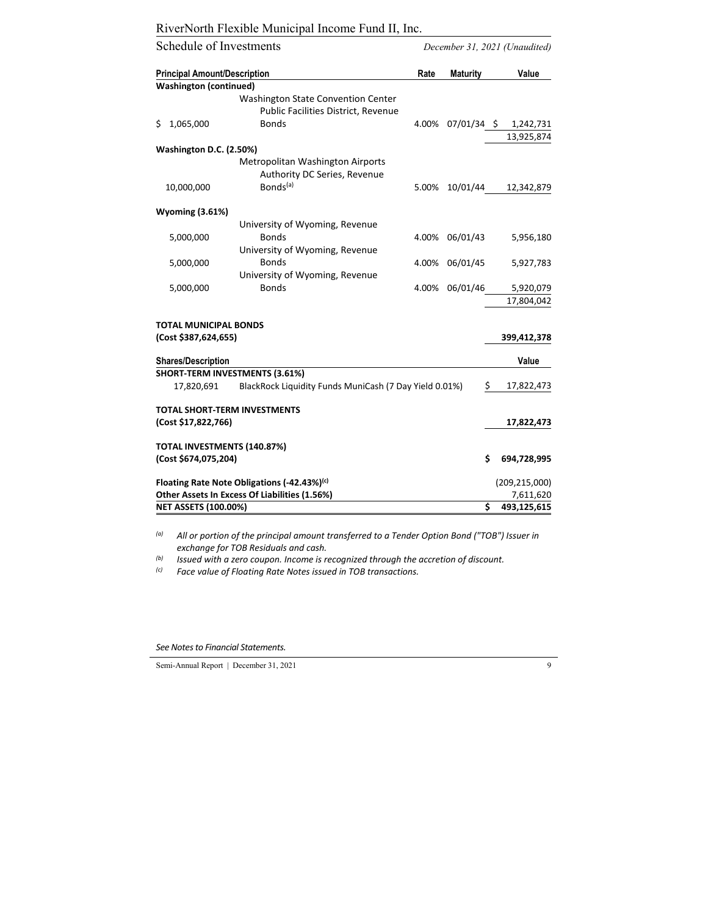| Schedule of Investments             |                                                        |       |                        | December 31, 2021 (Unaudited) |
|-------------------------------------|--------------------------------------------------------|-------|------------------------|-------------------------------|
| <b>Principal Amount/Description</b> |                                                        | Rate  | <b>Maturity</b>        | Value                         |
| <b>Washington (continued)</b>       |                                                        |       |                        |                               |
|                                     | Washington State Convention Center                     |       |                        |                               |
|                                     | Public Facilities District, Revenue                    |       |                        |                               |
| 1,065,000<br>\$                     | <b>Bonds</b>                                           | 4.00% | $07/01/34 \; \text{S}$ | 1,242,731                     |
|                                     |                                                        |       |                        | 13,925,874                    |
| Washington D.C. (2.50%)             |                                                        |       |                        |                               |
|                                     | Metropolitan Washington Airports                       |       |                        |                               |
|                                     | Authority DC Series, Revenue                           |       |                        |                               |
| 10,000,000                          | Bonds <sup>(a)</sup>                                   | 5.00% | 10/01/44               | 12,342,879                    |
| <b>Wyoming (3.61%)</b>              |                                                        |       |                        |                               |
|                                     | University of Wyoming, Revenue                         |       |                        |                               |
| 5,000,000                           | <b>Bonds</b>                                           | 4.00% | 06/01/43               | 5,956,180                     |
|                                     | University of Wyoming, Revenue                         |       |                        |                               |
| 5,000,000                           | <b>Bonds</b>                                           | 4.00% | 06/01/45               | 5,927,783                     |
|                                     | University of Wyoming, Revenue                         |       |                        |                               |
| 5,000,000                           | <b>Bonds</b>                                           | 4.00% | 06/01/46               | 5,920,079                     |
|                                     |                                                        |       |                        | 17,804,042                    |
| <b>TOTAL MUNICIPAL BONDS</b>        |                                                        |       |                        |                               |
| (Cost \$387,624,655)                |                                                        |       |                        | 399,412,378                   |
|                                     |                                                        |       |                        |                               |
| <b>Shares/Description</b>           |                                                        |       |                        | Value                         |
| SHORT-TERM INVESTMENTS (3.61%)      |                                                        |       |                        |                               |
| 17,820,691                          | BlackRock Liquidity Funds MuniCash (7 Day Yield 0.01%) |       |                        | \$<br>17,822,473              |
| <b>TOTAL SHORT-TERM INVESTMENTS</b> |                                                        |       |                        |                               |
| (Cost \$17,822,766)                 |                                                        |       |                        | 17,822,473                    |
| TOTAL INVESTMENTS (140.87%)         |                                                        |       |                        |                               |
| (Cost \$674,075,204)                |                                                        |       | Ś                      | 694,728,995                   |
|                                     | Floating Rate Note Obligations (-42.43%)(c)            |       |                        | (209, 215, 000)               |
|                                     | Other Assets In Excess Of Liabilities (1.56%)          |       |                        | 7,611,620                     |
| <b>NET ASSETS (100.00%)</b>         |                                                        |       | Ś                      | 493,125,615                   |

*(a) All or portion of the principal amount transferred to a Tender Option Bond ("TOB") Issuer in exchange for TOB Residuals and cash.*

*(b) Issued with a zero coupon. Income is recognized through the accretion of discount.*

*(c) Face value of Floating Rate Notes issued in TOB transactions.*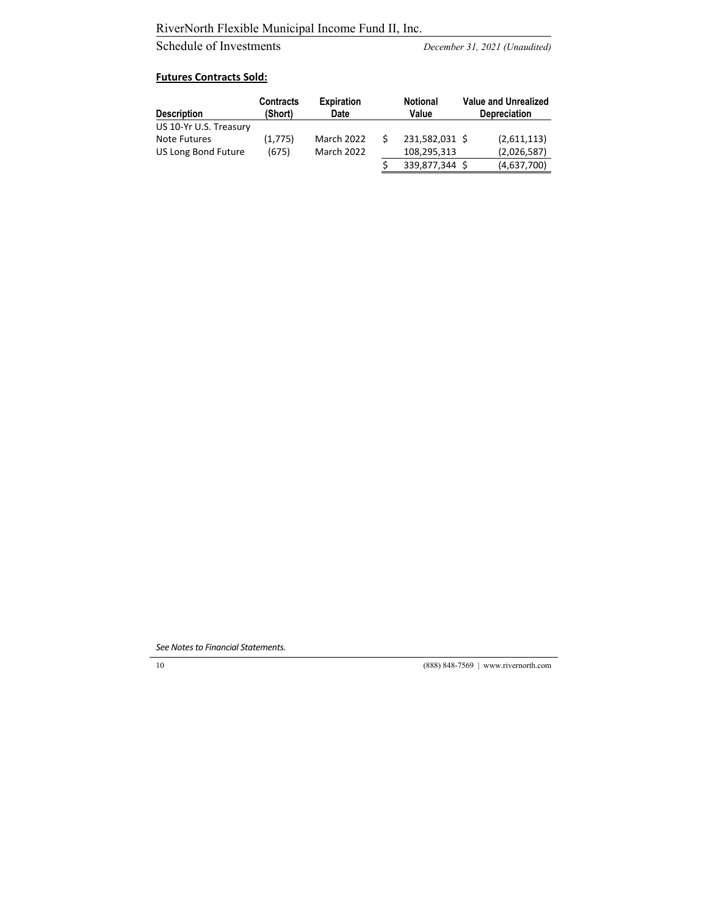# Schedule of Investments *December 31, 2021 (Unaudited)*

#### **Futures Contracts Sold:**

| <b>Description</b>     | <b>Contracts</b><br>(Short) | <b>Expiration</b><br>Date | <b>Notional</b><br>Value | <b>Value and Unrealized</b><br>Depreciation |
|------------------------|-----------------------------|---------------------------|--------------------------|---------------------------------------------|
| US 10-Yr U.S. Treasury |                             |                           |                          |                                             |
| Note Futures           | (1,775)                     | March 2022                | 231,582,031 \$           | (2,611,113)                                 |
| US Long Bond Future    | (675)                       | March 2022                | 108,295,313              | (2,026,587)                                 |
|                        |                             |                           | 339,877,344 \$           | (4,637,700)                                 |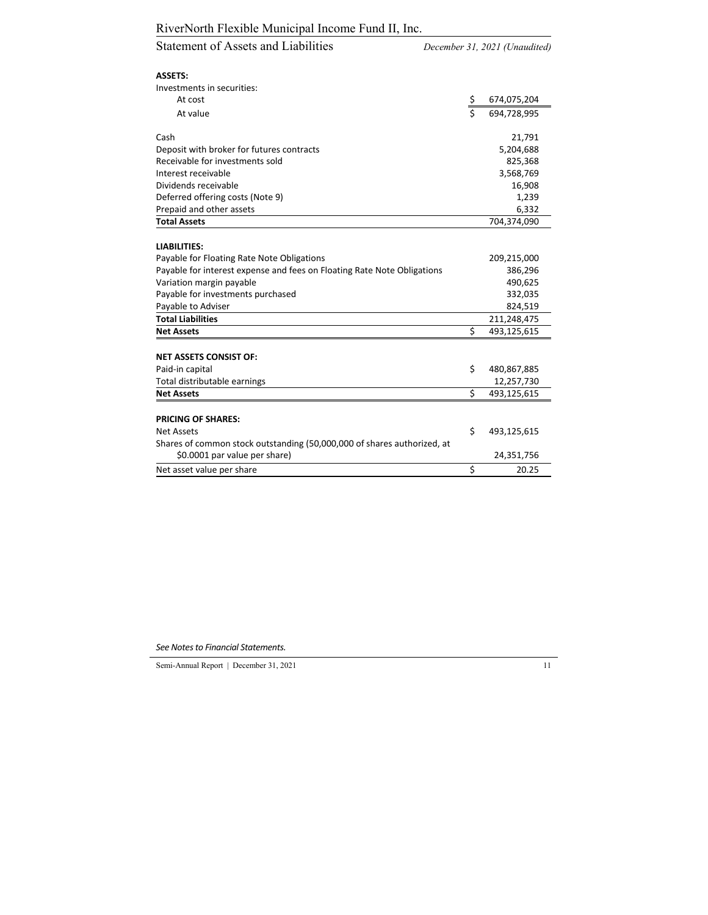December 31, 2021 (Unaudited)

| <b>ASSETS:</b>                                                          |             |             |
|-------------------------------------------------------------------------|-------------|-------------|
| Investments in securities:                                              |             |             |
| At cost                                                                 | $rac{5}{5}$ | 674,075,204 |
| At value                                                                |             | 694,728,995 |
| Cash                                                                    |             | 21,791      |
| Deposit with broker for futures contracts                               |             | 5,204,688   |
| Receivable for investments sold                                         |             | 825,368     |
| Interest receivable                                                     |             | 3,568,769   |
| Dividends receivable                                                    |             | 16,908      |
| Deferred offering costs (Note 9)                                        |             | 1,239       |
| Prepaid and other assets                                                |             | 6,332       |
| <b>Total Assets</b>                                                     |             | 704,374,090 |
|                                                                         |             |             |
| <b>LIABILITIES:</b>                                                     |             |             |
| Payable for Floating Rate Note Obligations                              |             | 209,215,000 |
| Payable for interest expense and fees on Floating Rate Note Obligations |             | 386,296     |
| Variation margin payable                                                |             | 490,625     |
| Payable for investments purchased                                       |             | 332,035     |
| Payable to Adviser                                                      |             | 824,519     |
| <b>Total Liabilities</b>                                                |             | 211,248,475 |
| <b>Net Assets</b>                                                       | Ś           | 493,125,615 |
| <b>NET ASSETS CONSIST OF:</b>                                           |             |             |
| Paid-in capital                                                         | \$          | 480,867,885 |
| Total distributable earnings                                            |             | 12,257,730  |
| <b>Net Assets</b>                                                       | Ś           | 493,125,615 |
| <b>PRICING OF SHARES:</b>                                               |             |             |
| <b>Net Assets</b>                                                       | \$          | 493,125,615 |
| Shares of common stock outstanding (50,000,000 of shares authorized, at |             |             |
| \$0.0001 par value per share)                                           |             | 24,351,756  |
| Net asset value per share                                               | \$          | 20.25       |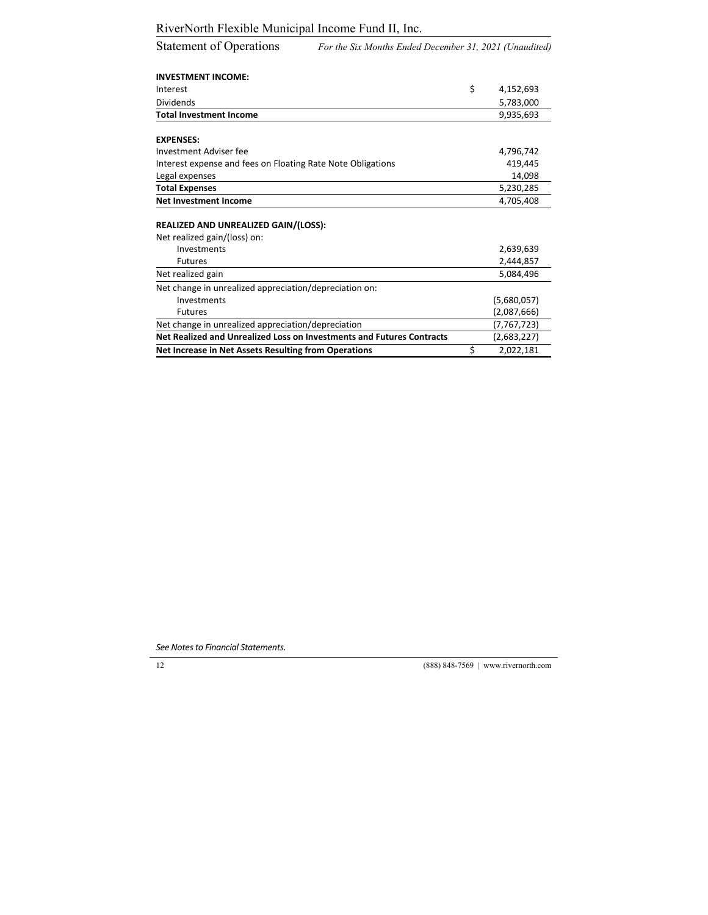| <b>Statement of Operations</b> | For the Six Months Ended December 31, 2021 (Unaudited) |
|--------------------------------|--------------------------------------------------------|
|--------------------------------|--------------------------------------------------------|

| <b>INVESTMENT INCOME:</b>                                             |                 |
|-----------------------------------------------------------------------|-----------------|
| Interest                                                              | \$<br>4,152,693 |
| <b>Dividends</b>                                                      | 5,783,000       |
| <b>Total Investment Income</b>                                        | 9,935,693       |
| <b>EXPENSES:</b>                                                      |                 |
| Investment Adviser fee                                                | 4,796,742       |
| Interest expense and fees on Floating Rate Note Obligations           | 419,445         |
| Legal expenses                                                        | 14,098          |
| <b>Total Expenses</b>                                                 | 5,230,285       |
| <b>Net Investment Income</b>                                          | 4,705,408       |
| <b>REALIZED AND UNREALIZED GAIN/(LOSS):</b>                           |                 |
| Net realized gain/(loss) on:<br>Investments                           | 2,639,639       |
| <b>Futures</b>                                                        | 2,444,857       |
| Net realized gain                                                     | 5,084,496       |
| Net change in unrealized appreciation/depreciation on:                |                 |
| Investments                                                           | (5,680,057)     |
| <b>Futures</b>                                                        | (2,087,666)     |
| Net change in unrealized appreciation/depreciation                    | (7, 767, 723)   |
| Net Realized and Unrealized Loss on Investments and Futures Contracts | (2,683,227)     |
| Net Increase in Net Assets Resulting from Operations                  | \$<br>2,022,181 |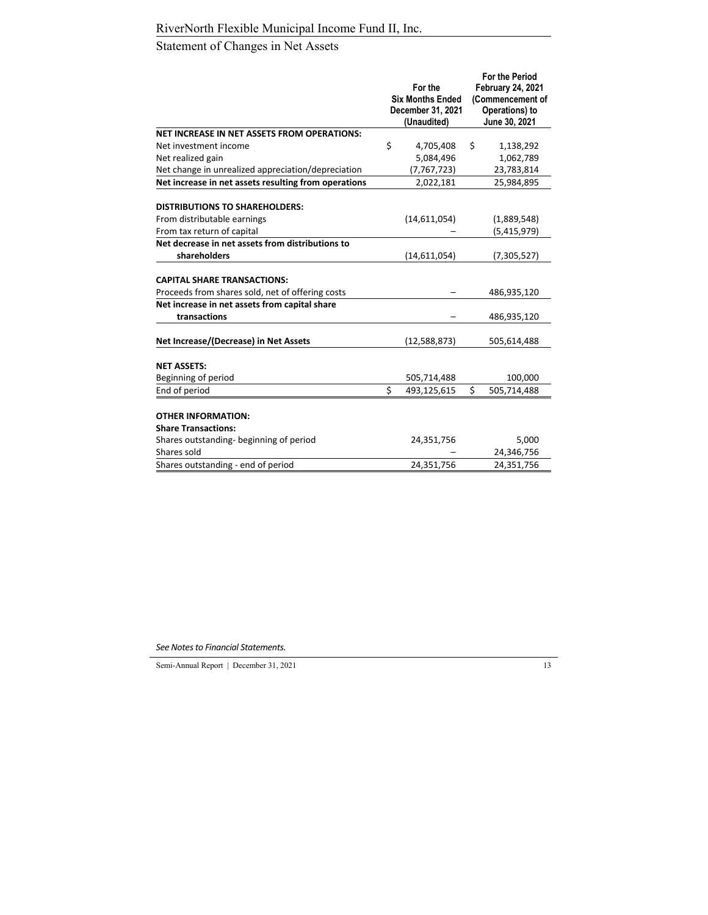# Statement of Changes in Net Assets

|                                                      |                         |                   |    | <b>For the Period</b>    |  |
|------------------------------------------------------|-------------------------|-------------------|----|--------------------------|--|
|                                                      | For the                 |                   |    | <b>February 24, 2021</b> |  |
|                                                      | <b>Six Months Ended</b> |                   |    | (Commencement of         |  |
|                                                      |                         | December 31, 2021 |    | Operations) to           |  |
|                                                      |                         | (Unaudited)       |    | June 30, 2021            |  |
| NET INCREASE IN NET ASSETS FROM OPERATIONS:          |                         |                   |    |                          |  |
| Net investment income                                | \$                      | 4,705,408         | \$ | 1,138,292                |  |
| Net realized gain                                    |                         | 5,084,496         |    | 1,062,789                |  |
| Net change in unrealized appreciation/depreciation   |                         | (7, 767, 723)     |    | 23,783,814               |  |
| Net increase in net assets resulting from operations |                         | 2,022,181         |    | 25,984,895               |  |
|                                                      |                         |                   |    |                          |  |
| <b>DISTRIBUTIONS TO SHAREHOLDERS:</b>                |                         |                   |    |                          |  |
| From distributable earnings                          |                         | (14,611,054)      |    | (1,889,548)              |  |
| From tax return of capital                           |                         |                   |    | (5,415,979)              |  |
| Net decrease in net assets from distributions to     |                         |                   |    |                          |  |
| shareholders                                         |                         | (14,611,054)      |    | (7, 305, 527)            |  |
|                                                      |                         |                   |    |                          |  |
| <b>CAPITAL SHARE TRANSACTIONS:</b>                   |                         |                   |    |                          |  |
| Proceeds from shares sold, net of offering costs     |                         |                   |    | 486,935,120              |  |
| Net increase in net assets from capital share        |                         |                   |    |                          |  |
| transactions                                         |                         |                   |    | 486,935,120              |  |
|                                                      |                         |                   |    |                          |  |
| Net Increase/(Decrease) in Net Assets                |                         | (12,588,873)      |    | 505,614,488              |  |
| <b>NET ASSETS:</b>                                   |                         |                   |    |                          |  |
| Beginning of period                                  |                         | 505,714,488       |    | 100,000                  |  |
| End of period                                        | Ś                       | 493,125,615       | Ś. | 505,714,488              |  |
|                                                      |                         |                   |    |                          |  |
| <b>OTHER INFORMATION:</b>                            |                         |                   |    |                          |  |
| <b>Share Transactions:</b>                           |                         |                   |    |                          |  |
| Shares outstanding- beginning of period              |                         | 24,351,756        |    | 5,000                    |  |
| Shares sold                                          |                         |                   |    | 24,346,756               |  |
| Shares outstanding - end of period                   |                         | 24,351,756        |    | 24,351,756               |  |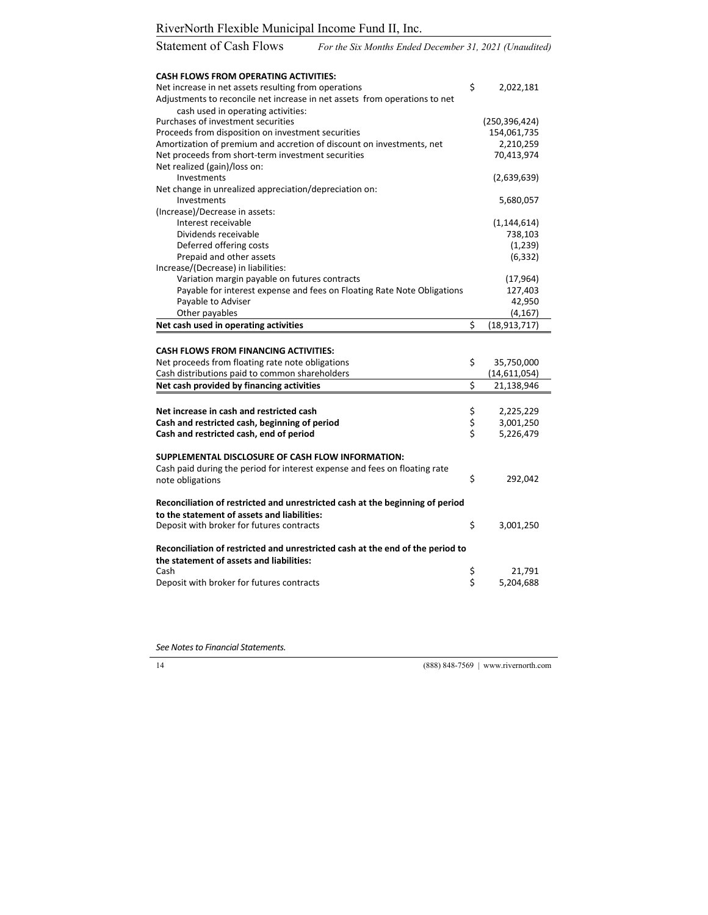| <b>CASH FLOWS FROM OPERATING ACTIVITIES:</b>                                   |                |                     |
|--------------------------------------------------------------------------------|----------------|---------------------|
| Net increase in net assets resulting from operations                           | Ś              | 2,022,181           |
| Adjustments to reconcile net increase in net assets from operations to net     |                |                     |
| cash used in operating activities:                                             |                |                     |
| Purchases of investment securities                                             |                | (250, 396, 424)     |
| Proceeds from disposition on investment securities                             |                | 154,061,735         |
| Amortization of premium and accretion of discount on investments, net          |                | 2,210,259           |
| Net proceeds from short-term investment securities                             |                | 70,413,974          |
| Net realized (gain)/loss on:                                                   |                |                     |
| Investments                                                                    |                | (2,639,639)         |
| Net change in unrealized appreciation/depreciation on:                         |                |                     |
| Investments                                                                    |                | 5,680,057           |
| (Increase)/Decrease in assets:                                                 |                |                     |
| Interest receivable                                                            |                | (1, 144, 614)       |
| Dividends receivable                                                           |                | 738,103             |
| Deferred offering costs                                                        |                | (1,239)             |
| Prepaid and other assets                                                       |                | (6, 332)            |
| Increase/(Decrease) in liabilities:                                            |                |                     |
| Variation margin payable on futures contracts                                  |                | (17, 964)           |
| Payable for interest expense and fees on Floating Rate Note Obligations        |                | 127,403             |
| Payable to Adviser                                                             |                | 42,950              |
| Other payables                                                                 |                | (4, 167)            |
| Net cash used in operating activities                                          | \$             | (18, 913, 717)      |
|                                                                                |                |                     |
| <b>CASH FLOWS FROM FINANCING ACTIVITIES:</b>                                   |                |                     |
| Net proceeds from floating rate note obligations                               | \$             | 35,750,000          |
| Cash distributions paid to common shareholders                                 |                | (14,611,054)        |
| Net cash provided by financing activities                                      | \$             | 21,138,946          |
|                                                                                |                |                     |
|                                                                                |                |                     |
|                                                                                |                |                     |
| Net increase in cash and restricted cash                                       |                | 2,225,229           |
| Cash and restricted cash, beginning of period                                  |                | 3,001,250           |
| Cash and restricted cash, end of period                                        | \$<br>\$<br>\$ | 5,226,479           |
|                                                                                |                |                     |
| SUPPLEMENTAL DISCLOSURE OF CASH FLOW INFORMATION:                              |                |                     |
| Cash paid during the period for interest expense and fees on floating rate     |                |                     |
| note obligations                                                               | \$             | 292,042             |
|                                                                                |                |                     |
| Reconciliation of restricted and unrestricted cash at the beginning of period  |                |                     |
| to the statement of assets and liabilities:                                    |                |                     |
| Deposit with broker for futures contracts                                      | \$             | 3,001,250           |
|                                                                                |                |                     |
| Reconciliation of restricted and unrestricted cash at the end of the period to |                |                     |
| the statement of assets and liabilities:                                       |                |                     |
| Cash<br>Deposit with broker for futures contracts                              | Ş<br>\$        | 21,791<br>5,204,688 |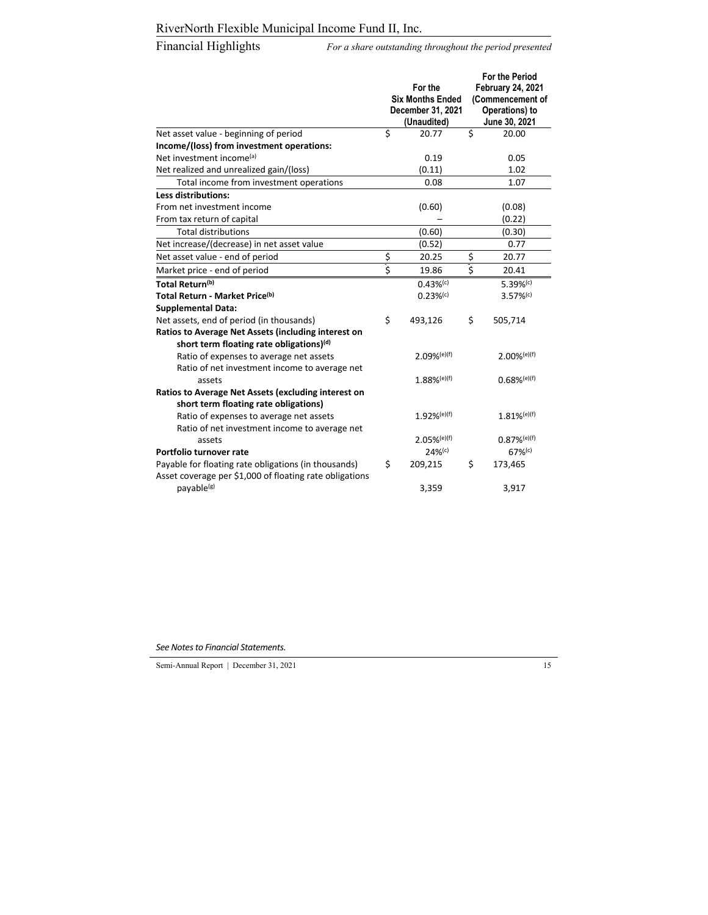Financial Highlights *For a share outstanding throughout the period presented* 

|                                                                                              | For the<br><b>Six Months Ended</b><br>December 31, 2021<br>(Unaudited) | <b>For the Period</b><br><b>February 24, 2021</b><br>(Commencement of<br>Operations) to<br>June 30, 2021 |
|----------------------------------------------------------------------------------------------|------------------------------------------------------------------------|----------------------------------------------------------------------------------------------------------|
| Net asset value - beginning of period                                                        | \$<br>20.77                                                            | \$<br>20.00                                                                                              |
| Income/(loss) from investment operations:                                                    |                                                                        |                                                                                                          |
| Net investment income <sup>(a)</sup>                                                         | 0.19                                                                   | 0.05                                                                                                     |
| Net realized and unrealized gain/(loss)                                                      | (0.11)                                                                 | 1.02                                                                                                     |
| Total income from investment operations                                                      | 0.08                                                                   | 1.07                                                                                                     |
| <b>Less distributions:</b>                                                                   |                                                                        |                                                                                                          |
| From net investment income                                                                   | (0.60)                                                                 | (0.08)                                                                                                   |
| From tax return of capital                                                                   |                                                                        | (0.22)                                                                                                   |
| <b>Total distributions</b>                                                                   | (0.60)                                                                 | (0.30)                                                                                                   |
| Net increase/(decrease) in net asset value                                                   | (0.52)                                                                 | 0.77                                                                                                     |
| Net asset value - end of period                                                              | \$<br>20.25                                                            | \$<br>20.77                                                                                              |
| Market price - end of period                                                                 | \$<br>19.86                                                            | \$<br>20.41                                                                                              |
| Total Return(b)                                                                              | $0.43%$ <sup>(c)</sup>                                                 | $5.39%$ <sup>(c)</sup>                                                                                   |
| Total Return - Market Price <sup>(b)</sup>                                                   | $0.23%$ <sup>(c)</sup>                                                 | $3.57%$ <sup>(c)</sup>                                                                                   |
| <b>Supplemental Data:</b>                                                                    |                                                                        |                                                                                                          |
| Net assets, end of period (in thousands)                                                     | \$<br>493,126                                                          | \$<br>505,714                                                                                            |
| Ratios to Average Net Assets (including interest on                                          |                                                                        |                                                                                                          |
| short term floating rate obligations) <sup>(d)</sup>                                         |                                                                        |                                                                                                          |
| Ratio of expenses to average net assets                                                      | $2.09%$ (e)(f)                                                         | $2.00%$ <sup>(e)(f)</sup>                                                                                |
| Ratio of net investment income to average net                                                |                                                                        |                                                                                                          |
| assets                                                                                       | $1.88\%$ <sup>(e)(f)</sup>                                             | $0.68%$ <sup>(e)(f)</sup>                                                                                |
| Ratios to Average Net Assets (excluding interest on<br>short term floating rate obligations) |                                                                        |                                                                                                          |
| Ratio of expenses to average net assets<br>Ratio of net investment income to average net     | $1.92%$ <sup>(e)(f)</sup>                                              | $1.81\%$ <sup>(e)(f)</sup>                                                                               |
| assets                                                                                       | $2.05\%$ <sup>(e)(f)</sup>                                             | $0.87\%$ <sup>(e)(f)</sup>                                                                               |
| Portfolio turnover rate                                                                      | $24%$ <sup>(c)</sup>                                                   | $67%$ <sup>(c)</sup>                                                                                     |
| Payable for floating rate obligations (in thousands)                                         | \$<br>209,215                                                          | \$<br>173,465                                                                                            |
| Asset coverage per \$1,000 of floating rate obligations                                      |                                                                        |                                                                                                          |
| payable <sup>(g)</sup>                                                                       | 3,359                                                                  | 3,917                                                                                                    |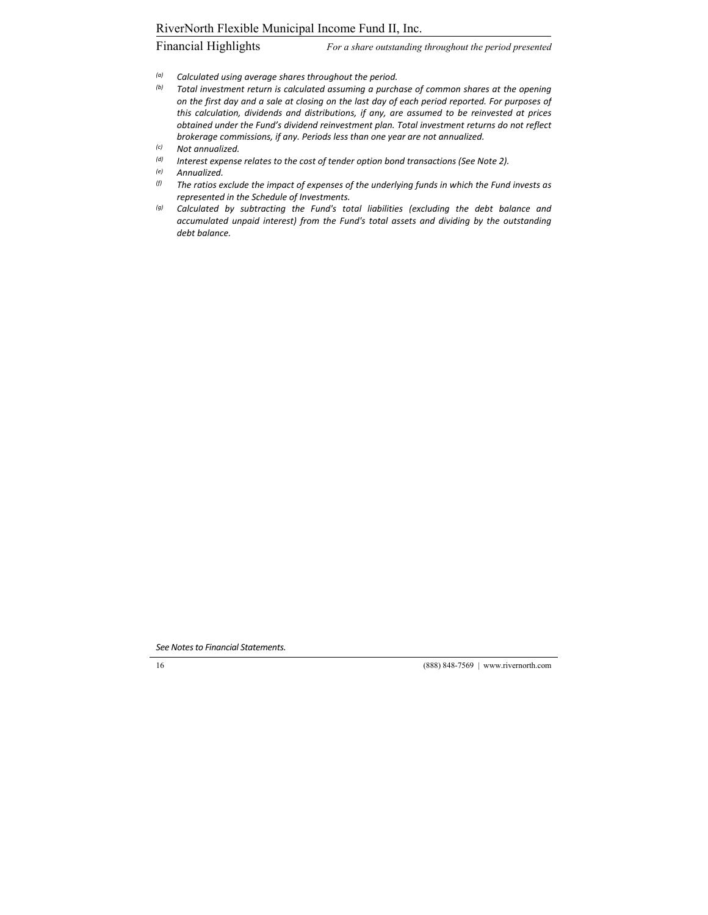Financial Highlights *For a share outstanding throughout the period presented* 

- *(a) Calculated using average shares throughout the period.*
- *(b) Total investment return is calculated assuming a purchase of common shares at the opening* on the first day and a sale at closing on the last day of each period reported. For purposes of *this calculation, dividends and distributions, if any, are assumed to be reinvested at prices obtained under the Fund's dividend reinvestment plan. Total investment returns do not reflect brokerage commissions, if any. Periods less than one year are not annualized.*
- *(c) Not annualized.*
- *(d) Interest expense relates to the cost of tender option bond transactions (See Note 2).*
- *(e) Annualized.*
- *(f) The ratios exclude the impact of expenses of the underlying funds in which the Fund invests as represented in the Schedule of Investments.*
- *(g) Calculated by subtracting the Fund's total liabilities (excluding the debt balance and accumulated unpaid interest) from the Fund's total assets and dividing by the outstanding debt balance.*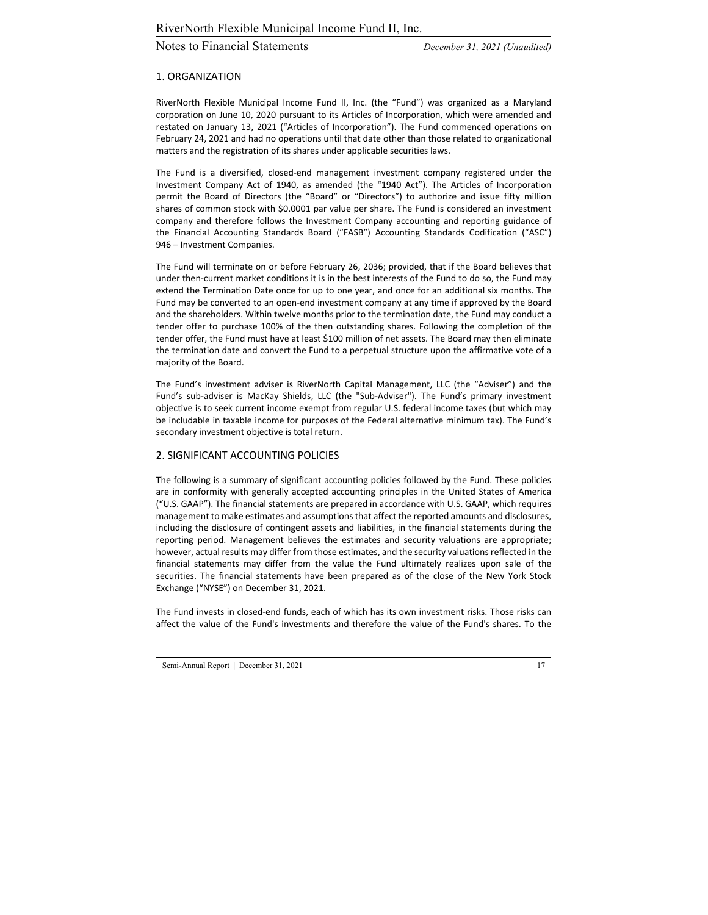# Notes to Financial Statements *December 31, 2021 (Unaudited)*

#### 1. ORGANIZATION

RiverNorth Flexible Municipal Income Fund II, Inc. (the "Fund") was organized as a Maryland corporation on June 10, 2020 pursuant to its Articles of Incorporation, which were amended and restated on January 13, 2021 ("Articles of Incorporation"). The Fund commenced operations on February 24, 2021 and had no operations until that date other than those related to organizational matters and the registration of its shares under applicable securities laws.

The Fund is a diversified, closed‐end management investment company registered under the Investment Company Act of 1940, as amended (the "1940 Act"). The Articles of Incorporation permit the Board of Directors (the "Board" or "Directors") to authorize and issue fifty million shares of common stock with \$0.0001 par value per share. The Fund is considered an investment company and therefore follows the Investment Company accounting and reporting guidance of the Financial Accounting Standards Board ("FASB") Accounting Standards Codification ("ASC") 946 – Investment Companies.

The Fund will terminate on or before February 26, 2036; provided, that if the Board believes that under then‐current market conditions it is in the best interests of the Fund to do so, the Fund may extend the Termination Date once for up to one year, and once for an additional six months. The Fund may be converted to an open‐end investment company at any time if approved by the Board and the shareholders. Within twelve months prior to the termination date, the Fund may conduct a tender offer to purchase 100% of the then outstanding shares. Following the completion of the tender offer, the Fund must have at least \$100 million of net assets. The Board may then eliminate the termination date and convert the Fund to a perpetual structure upon the affirmative vote of a majority of the Board.

The Fund's investment adviser is RiverNorth Capital Management, LLC (the "Adviser") and the Fund's sub‐adviser is MacKay Shields, LLC (the "Sub‐Adviser"). The Fund's primary investment objective is to seek current income exempt from regular U.S. federal income taxes (but which may be includable in taxable income for purposes of the Federal alternative minimum tax). The Fund's secondary investment objective is total return.

#### 2. SIGNIFICANT ACCOUNTING POLICIES

The following is a summary of significant accounting policies followed by the Fund. These policies are in conformity with generally accepted accounting principles in the United States of America ("U.S. GAAP"). The financial statements are prepared in accordance with U.S. GAAP, which requires management to make estimates and assumptions that affect the reported amounts and disclosures, including the disclosure of contingent assets and liabilities, in the financial statements during the reporting period. Management believes the estimates and security valuations are appropriate; however, actual results may differ from those estimates, and the security valuations reflected in the financial statements may differ from the value the Fund ultimately realizes upon sale of the securities. The financial statements have been prepared as of the close of the New York Stock Exchange ("NYSE") on December 31, 2021.

The Fund invests in closed‐end funds, each of which has its own investment risks. Those risks can affect the value of the Fund's investments and therefore the value of the Fund's shares. To the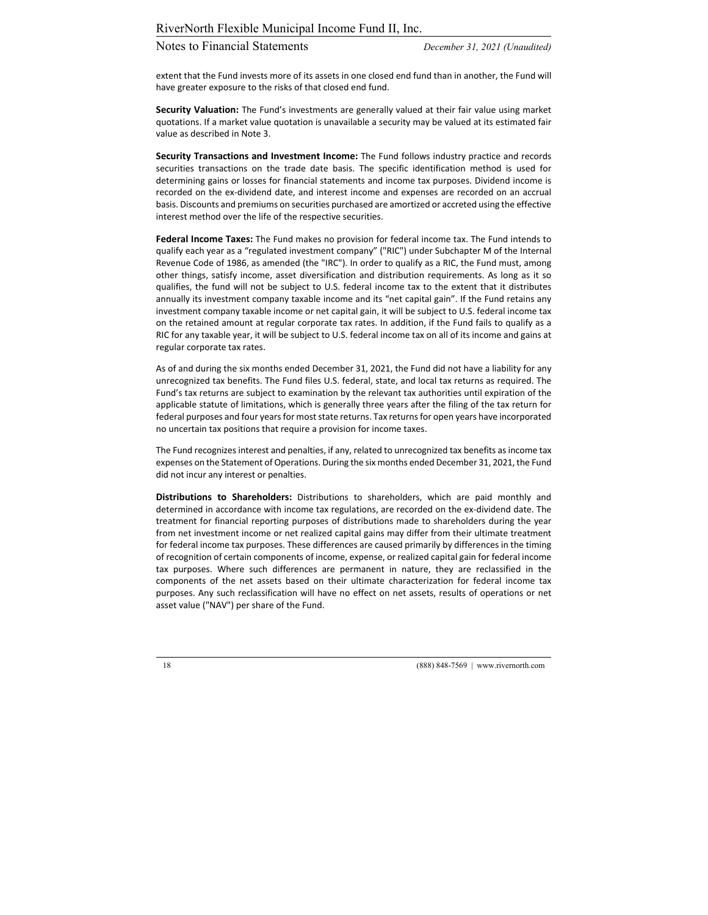extent that the Fund invests more of its assets in one closed end fund than in another, the Fund will have greater exposure to the risks of that closed end fund.

**Security Valuation:** The Fund's investments are generally valued at their fair value using market quotations. If a market value quotation is unavailable a security may be valued at its estimated fair value as described in Note 3.

**Security Transactions and Investment Income:** The Fund follows industry practice and records securities transactions on the trade date basis. The specific identification method is used for determining gains or losses for financial statements and income tax purposes. Dividend income is recorded on the ex‐dividend date, and interest income and expenses are recorded on an accrual basis. Discounts and premiums on securities purchased are amortized or accreted using the effective interest method over the life of the respective securities.

**Federal Income Taxes:** The Fund makes no provision for federal income tax. The Fund intends to qualify each year as a "regulated investment company" ("RIC") under Subchapter M of the Internal Revenue Code of 1986, as amended (the "IRC"). In order to qualify as a RIC, the Fund must, among other things, satisfy income, asset diversification and distribution requirements. As long as it so qualifies, the fund will not be subject to U.S. federal income tax to the extent that it distributes annually its investment company taxable income and its "net capital gain". If the Fund retains any investment company taxable income or net capital gain, it will be subject to U.S. federal income tax on the retained amount at regular corporate tax rates. In addition, if the Fund fails to qualify as a RIC for any taxable year, it will be subject to U.S. federal income tax on all of its income and gains at regular corporate tax rates.

As of and during the six months ended December 31, 2021, the Fund did not have a liability for any unrecognized tax benefits. The Fund files U.S. federal, state, and local tax returns as required. The Fund's tax returns are subject to examination by the relevant tax authorities until expiration of the applicable statute of limitations, which is generally three years after the filing of the tax return for federal purposes and four years for most state returns. Tax returns for open years have incorporated no uncertain tax positions that require a provision for income taxes.

The Fund recognizes interest and penalties, if any, related to unrecognized tax benefits as income tax expenses on the Statement of Operations. During the six months ended December 31, 2021, the Fund did not incur any interest or penalties.

**Distributions to Shareholders:** Distributions to shareholders, which are paid monthly and determined in accordance with income tax regulations, are recorded on the ex‐dividend date. The treatment for financial reporting purposes of distributions made to shareholders during the year from net investment income or net realized capital gains may differ from their ultimate treatment for federal income tax purposes. These differences are caused primarily by differences in the timing of recognition of certain components of income, expense, or realized capital gain for federal income tax purposes. Where such differences are permanent in nature, they are reclassified in the components of the net assets based on their ultimate characterization for federal income tax purposes. Any such reclassification will have no effect on net assets, results of operations or net asset value ("NAV") per share of the Fund.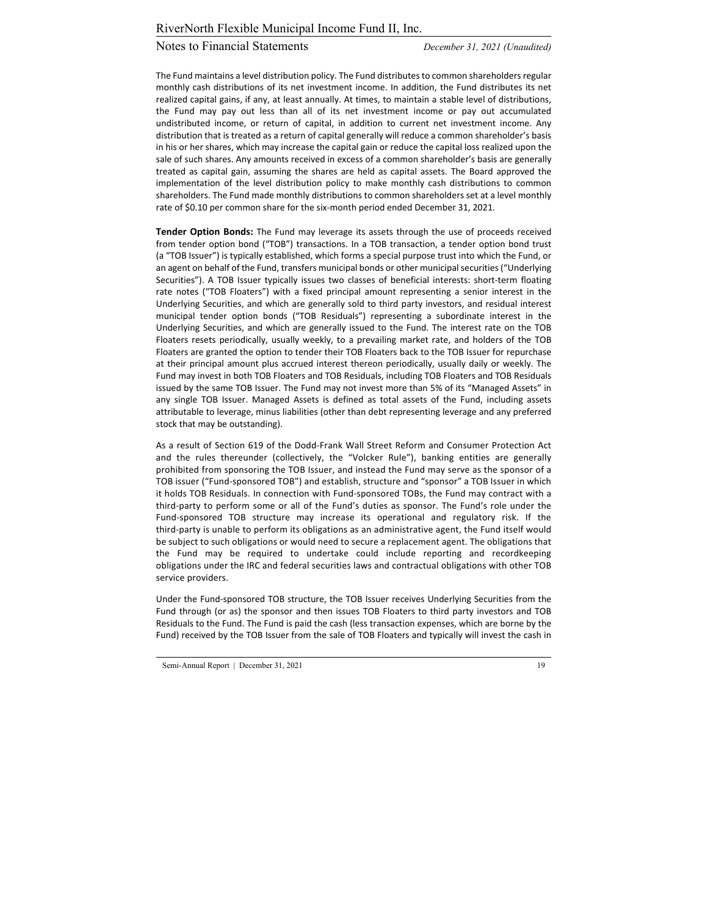The Fund maintains a level distribution policy. The Fund distributes to common shareholders regular monthly cash distributions of its net investment income. In addition, the Fund distributes its net realized capital gains, if any, at least annually. At times, to maintain a stable level of distributions, the Fund may pay out less than all of its net investment income or pay out accumulated undistributed income, or return of capital, in addition to current net investment income. Any distribution that is treated as a return of capital generally will reduce a common shareholder's basis in his or her shares, which may increase the capital gain or reduce the capital loss realized upon the sale of such shares. Any amounts received in excess of a common shareholder's basis are generally treated as capital gain, assuming the shares are held as capital assets. The Board approved the implementation of the level distribution policy to make monthly cash distributions to common shareholders. The Fund made monthly distributions to common shareholders set at a level monthly rate of \$0.10 per common share for the six-month period ended December 31, 2021.

**Tender Option Bonds:** The Fund may leverage its assets through the use of proceeds received from tender option bond ("TOB") transactions. In a TOB transaction, a tender option bond trust (a "TOB Issuer") is typically established, which forms a special purpose trust into which the Fund, or an agent on behalf of the Fund, transfers municipal bonds or other municipal securities ("Underlying Securities"). A TOB Issuer typically issues two classes of beneficial interests: short-term floating rate notes ("TOB Floaters") with a fixed principal amount representing a senior interest in the Underlying Securities, and which are generally sold to third party investors, and residual interest municipal tender option bonds ("TOB Residuals") representing a subordinate interest in the Underlying Securities, and which are generally issued to the Fund. The interest rate on the TOB Floaters resets periodically, usually weekly, to a prevailing market rate, and holders of the TOB Floaters are granted the option to tender their TOB Floaters back to the TOB Issuer for repurchase at their principal amount plus accrued interest thereon periodically, usually daily or weekly. The Fund may invest in both TOB Floaters and TOB Residuals, including TOB Floaters and TOB Residuals issued by the same TOB Issuer. The Fund may not invest more than 5% of its "Managed Assets" in any single TOB Issuer. Managed Assets is defined as total assets of the Fund, including assets attributable to leverage, minus liabilities (other than debt representing leverage and any preferred stock that may be outstanding).

As a result of Section 619 of the Dodd‐Frank Wall Street Reform and Consumer Protection Act and the rules thereunder (collectively, the "Volcker Rule"), banking entities are generally prohibited from sponsoring the TOB Issuer, and instead the Fund may serve as the sponsor of a TOB issuer ("Fund‐sponsored TOB") and establish, structure and "sponsor" a TOB Issuer in which it holds TOB Residuals. In connection with Fund‐sponsored TOBs, the Fund may contract with a third‐party to perform some or all of the Fund's duties as sponsor. The Fund's role under the Fund‐sponsored TOB structure may increase its operational and regulatory risk. If the third‐party is unable to perform its obligations as an administrative agent, the Fund itself would be subject to such obligations or would need to secure a replacement agent. The obligations that the Fund may be required to undertake could include reporting and recordkeeping obligations under the IRC and federal securities laws and contractual obligations with other TOB service providers.

Under the Fund‐sponsored TOB structure, the TOB Issuer receives Underlying Securities from the Fund through (or as) the sponsor and then issues TOB Floaters to third party investors and TOB Residuals to the Fund. The Fund is paid the cash (less transaction expenses, which are borne by the Fund) received by the TOB Issuer from the sale of TOB Floaters and typically will invest the cash in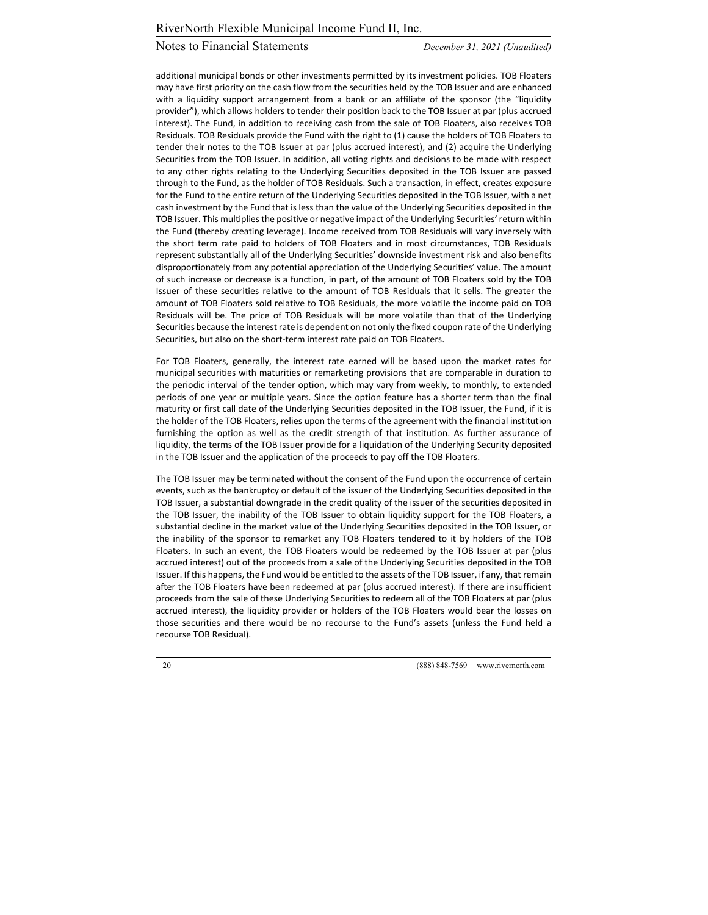additional municipal bonds or other investments permitted by its investment policies. TOB Floaters may have first priority on the cash flow from the securities held by the TOB Issuer and are enhanced with a liquidity support arrangement from a bank or an affiliate of the sponsor (the "liquidity provider"), which allows holders to tender their position back to the TOB Issuer at par (plus accrued interest). The Fund, in addition to receiving cash from the sale of TOB Floaters, also receives TOB Residuals. TOB Residuals provide the Fund with the right to (1) cause the holders of TOB Floaters to tender their notes to the TOB Issuer at par (plus accrued interest), and (2) acquire the Underlying Securities from the TOB Issuer. In addition, all voting rights and decisions to be made with respect to any other rights relating to the Underlying Securities deposited in the TOB Issuer are passed through to the Fund, as the holder of TOB Residuals. Such a transaction, in effect, creates exposure for the Fund to the entire return of the Underlying Securities deposited in the TOB Issuer, with a net cash investment by the Fund that is less than the value of the Underlying Securities deposited in the TOB Issuer. This multiplies the positive or negative impact of the Underlying Securities' return within the Fund (thereby creating leverage). Income received from TOB Residuals will vary inversely with the short term rate paid to holders of TOB Floaters and in most circumstances, TOB Residuals represent substantially all of the Underlying Securities' downside investment risk and also benefits disproportionately from any potential appreciation of the Underlying Securities' value. The amount of such increase or decrease is a function, in part, of the amount of TOB Floaters sold by the TOB Issuer of these securities relative to the amount of TOB Residuals that it sells. The greater the amount of TOB Floaters sold relative to TOB Residuals, the more volatile the income paid on TOB Residuals will be. The price of TOB Residuals will be more volatile than that of the Underlying Securities because the interest rate is dependent on not only the fixed coupon rate of the Underlying Securities, but also on the short-term interest rate paid on TOB Floaters.

For TOB Floaters, generally, the interest rate earned will be based upon the market rates for municipal securities with maturities or remarketing provisions that are comparable in duration to the periodic interval of the tender option, which may vary from weekly, to monthly, to extended periods of one year or multiple years. Since the option feature has a shorter term than the final maturity or first call date of the Underlying Securities deposited in the TOB Issuer, the Fund, if it is the holder of the TOB Floaters, relies upon the terms of the agreement with the financial institution furnishing the option as well as the credit strength of that institution. As further assurance of liquidity, the terms of the TOB Issuer provide for a liquidation of the Underlying Security deposited in the TOB Issuer and the application of the proceeds to pay off the TOB Floaters.

The TOB Issuer may be terminated without the consent of the Fund upon the occurrence of certain events, such as the bankruptcy or default of the issuer of the Underlying Securities deposited in the TOB Issuer, a substantial downgrade in the credit quality of the issuer of the securities deposited in the TOB Issuer, the inability of the TOB Issuer to obtain liquidity support for the TOB Floaters, a substantial decline in the market value of the Underlying Securities deposited in the TOB Issuer, or the inability of the sponsor to remarket any TOB Floaters tendered to it by holders of the TOB Floaters. In such an event, the TOB Floaters would be redeemed by the TOB Issuer at par (plus accrued interest) out of the proceeds from a sale of the Underlying Securities deposited in the TOB Issuer. If this happens, the Fund would be entitled to the assets of the TOB Issuer, if any, that remain after the TOB Floaters have been redeemed at par (plus accrued interest). If there are insufficient proceeds from the sale of these Underlying Securities to redeem all of the TOB Floaters at par (plus accrued interest), the liquidity provider or holders of the TOB Floaters would bear the losses on those securities and there would be no recourse to the Fund's assets (unless the Fund held a recourse TOB Residual).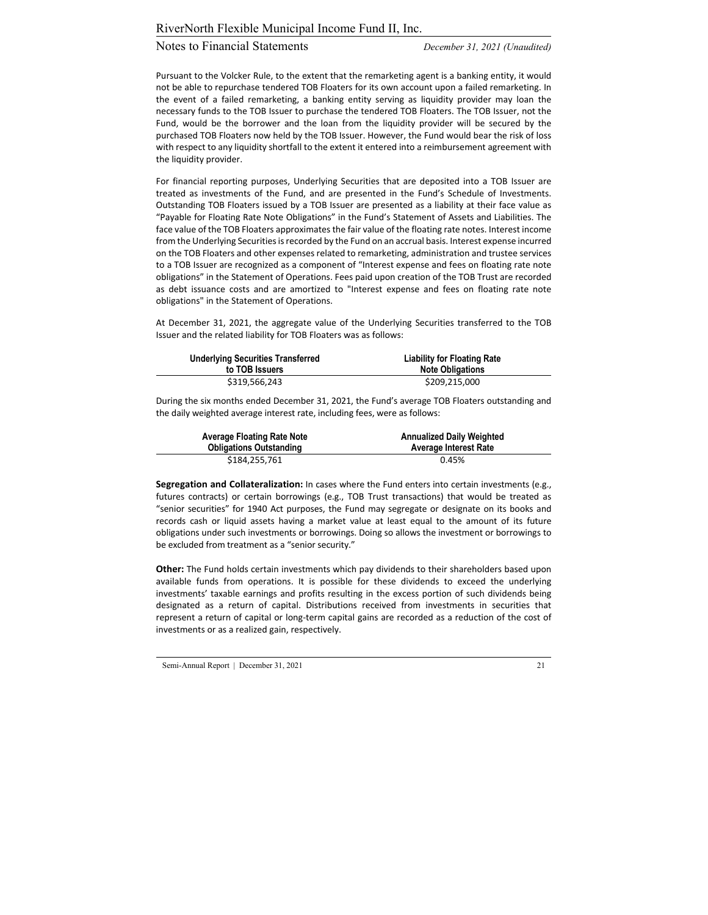# Notes to Financial Statements *December 31, 2021 (Unaudited)*

Pursuant to the Volcker Rule, to the extent that the remarketing agent is a banking entity, it would not be able to repurchase tendered TOB Floaters for its own account upon a failed remarketing. In the event of a failed remarketing, a banking entity serving as liquidity provider may loan the necessary funds to the TOB Issuer to purchase the tendered TOB Floaters. The TOB Issuer, not the Fund, would be the borrower and the loan from the liquidity provider will be secured by the purchased TOB Floaters now held by the TOB Issuer. However, the Fund would bear the risk of loss with respect to any liquidity shortfall to the extent it entered into a reimbursement agreement with the liquidity provider.

For financial reporting purposes, Underlying Securities that are deposited into a TOB Issuer are treated as investments of the Fund, and are presented in the Fund's Schedule of Investments. Outstanding TOB Floaters issued by a TOB Issuer are presented as a liability at their face value as "Payable for Floating Rate Note Obligations" in the Fund's Statement of Assets and Liabilities. The face value of the TOB Floaters approximates the fair value of the floating rate notes. Interest income from the Underlying Securities is recorded by the Fund on an accrual basis. Interest expense incurred on the TOB Floaters and other expenses related to remarketing, administration and trustee services to a TOB Issuer are recognized as a component of "Interest expense and fees on floating rate note obligations" in the Statement of Operations. Fees paid upon creation of the TOB Trust are recorded as debt issuance costs and are amortized to "Interest expense and fees on floating rate note obligations" in the Statement of Operations.

At December 31, 2021, the aggregate value of the Underlying Securities transferred to the TOB Issuer and the related liability for TOB Floaters was as follows:

| <b>Underlying Securities Transferred</b> | <b>Liability for Floating Rate</b> |
|------------------------------------------|------------------------------------|
| to TOB Issuers                           | <b>Note Obligations</b>            |
| \$319.566.243                            | \$209,215,000                      |

During the six months ended December 31, 2021, the Fund's average TOB Floaters outstanding and the daily weighted average interest rate, including fees, were as follows:

| Average Floating Rate Note     | <b>Annualized Daily Weighted</b> |
|--------------------------------|----------------------------------|
| <b>Obligations Outstanding</b> | <b>Average Interest Rate</b>     |
| \$184,255,761                  | 0.45%                            |

**Segregation and Collateralization:** In cases where the Fund enters into certain investments (e.g., futures contracts) or certain borrowings (e.g., TOB Trust transactions) that would be treated as "senior securities" for 1940 Act purposes, the Fund may segregate or designate on its books and records cash or liquid assets having a market value at least equal to the amount of its future obligations under such investments or borrowings. Doing so allows the investment or borrowings to be excluded from treatment as a "senior security."

**Other:** The Fund holds certain investments which pay dividends to their shareholders based upon available funds from operations. It is possible for these dividends to exceed the underlying investments' taxable earnings and profits resulting in the excess portion of such dividends being designated as a return of capital. Distributions received from investments in securities that represent a return of capital or long‐term capital gains are recorded as a reduction of the cost of investments or as a realized gain, respectively.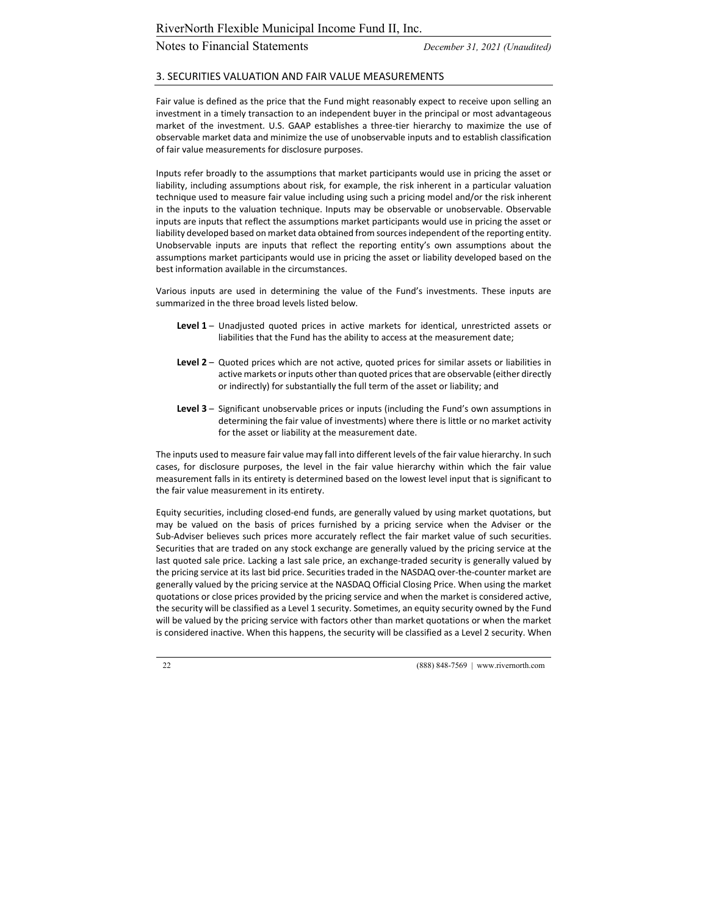# Notes to Financial Statements *December 31, 2021 (Unaudited)*

### 3. SECURITIES VALUATION AND FAIR VALUE MEASUREMENTS

Fair value is defined as the price that the Fund might reasonably expect to receive upon selling an investment in a timely transaction to an independent buyer in the principal or most advantageous market of the investment. U.S. GAAP establishes a three-tier hierarchy to maximize the use of observable market data and minimize the use of unobservable inputs and to establish classification of fair value measurements for disclosure purposes.

Inputs refer broadly to the assumptions that market participants would use in pricing the asset or liability, including assumptions about risk, for example, the risk inherent in a particular valuation technique used to measure fair value including using such a pricing model and/or the risk inherent in the inputs to the valuation technique. Inputs may be observable or unobservable. Observable inputs are inputs that reflect the assumptions market participants would use in pricing the asset or liability developed based on market data obtained from sourcesindependent ofthe reporting entity. Unobservable inputs are inputs that reflect the reporting entity's own assumptions about the assumptions market participants would use in pricing the asset or liability developed based on the best information available in the circumstances.

Various inputs are used in determining the value of the Fund's investments. These inputs are summarized in the three broad levels listed below.

- **Level 1** Unadjusted quoted prices in active markets for identical, unrestricted assets or liabilities that the Fund has the ability to access at the measurement date;
- **Level 2** Quoted prices which are not active, quoted prices for similar assets or liabilities in active markets or inputs other than quoted prices that are observable (either directly or indirectly) for substantially the full term of the asset or liability; and
- **Level 3** Significant unobservable prices or inputs (including the Fund's own assumptions in determining the fair value of investments) where there is little or no market activity for the asset or liability at the measurement date.

The inputs used to measure fair value may fall into different levels of the fair value hierarchy. In such cases, for disclosure purposes, the level in the fair value hierarchy within which the fair value measurement falls in its entirety is determined based on the lowest level input that is significant to the fair value measurement in its entirety.

Equity securities, including closed‐end funds, are generally valued by using market quotations, but may be valued on the basis of prices furnished by a pricing service when the Adviser or the Sub‐Adviser believes such prices more accurately reflect the fair market value of such securities. Securities that are traded on any stock exchange are generally valued by the pricing service at the last quoted sale price. Lacking a last sale price, an exchange-traded security is generally valued by the pricing service at its last bid price. Securities traded in the NASDAQ over-the-counter market are generally valued by the pricing service at the NASDAQ Official Closing Price. When using the market quotations or close prices provided by the pricing service and when the market is considered active, the security will be classified as a Level 1 security. Sometimes, an equity security owned by the Fund will be valued by the pricing service with factors other than market quotations or when the market is considered inactive. When this happens, the security will be classified as a Level 2 security. When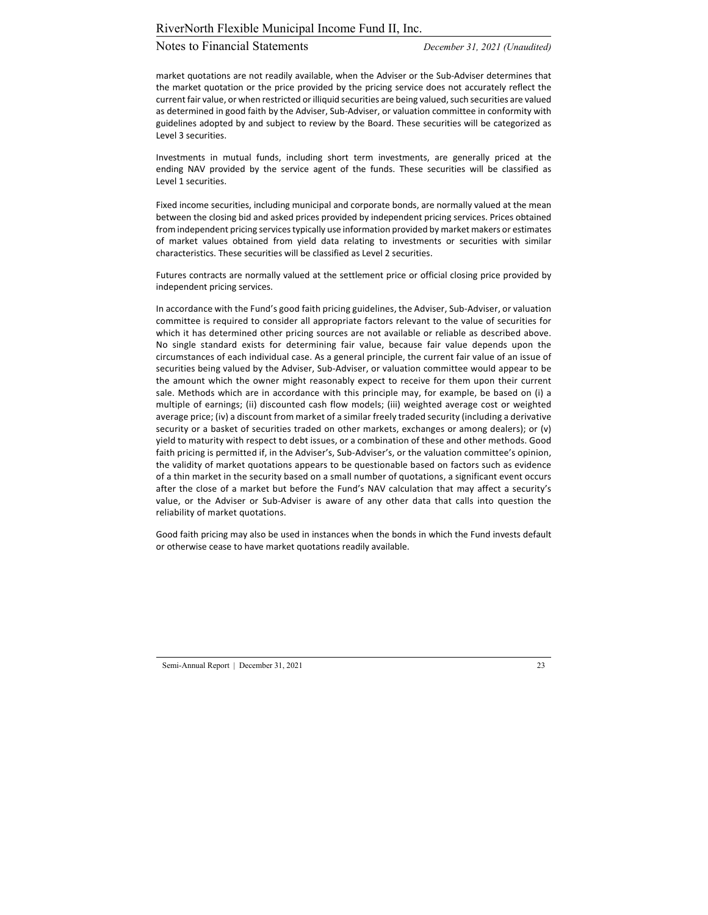# Notes to Financial Statements *December 31, 2021 (Unaudited)*

market quotations are not readily available, when the Adviser or the Sub‐Adviser determines that the market quotation or the price provided by the pricing service does not accurately reflect the current fair value, or when restricted or illiquid securities are being valued, such securities are valued as determined in good faith by the Adviser, Sub‐Adviser, or valuation committee in conformity with guidelines adopted by and subject to review by the Board. These securities will be categorized as Level 3 securities.

Investments in mutual funds, including short term investments, are generally priced at the ending NAV provided by the service agent of the funds. These securities will be classified as Level 1 securities.

Fixed income securities, including municipal and corporate bonds, are normally valued at the mean between the closing bid and asked prices provided by independent pricing services. Prices obtained from independent pricing services typically use information provided by market makers or estimates of market values obtained from yield data relating to investments or securities with similar characteristics. These securities will be classified as Level 2 securities.

Futures contracts are normally valued at the settlement price or official closing price provided by independent pricing services.

In accordance with the Fund's good faith pricing guidelines, the Adviser, Sub‐Adviser, or valuation committee is required to consider all appropriate factors relevant to the value of securities for which it has determined other pricing sources are not available or reliable as described above. No single standard exists for determining fair value, because fair value depends upon the circumstances of each individual case. As a general principle, the current fair value of an issue of securities being valued by the Adviser, Sub‐Adviser, or valuation committee would appear to be the amount which the owner might reasonably expect to receive for them upon their current sale. Methods which are in accordance with this principle may, for example, be based on (i) a multiple of earnings; (ii) discounted cash flow models; (iii) weighted average cost or weighted average price; (iv) a discount from market of a similar freely traded security (including a derivative security or a basket of securities traded on other markets, exchanges or among dealers); or (v) yield to maturity with respect to debt issues, or a combination of these and other methods. Good faith pricing is permitted if, in the Adviser's, Sub-Adviser's, or the valuation committee's opinion, the validity of market quotations appears to be questionable based on factors such as evidence of a thin market in the security based on a small number of quotations, a significant event occurs after the close of a market but before the Fund's NAV calculation that may affect a security's value, or the Adviser or Sub‐Adviser is aware of any other data that calls into question the reliability of market quotations.

Good faith pricing may also be used in instances when the bonds in which the Fund invests default or otherwise cease to have market quotations readily available.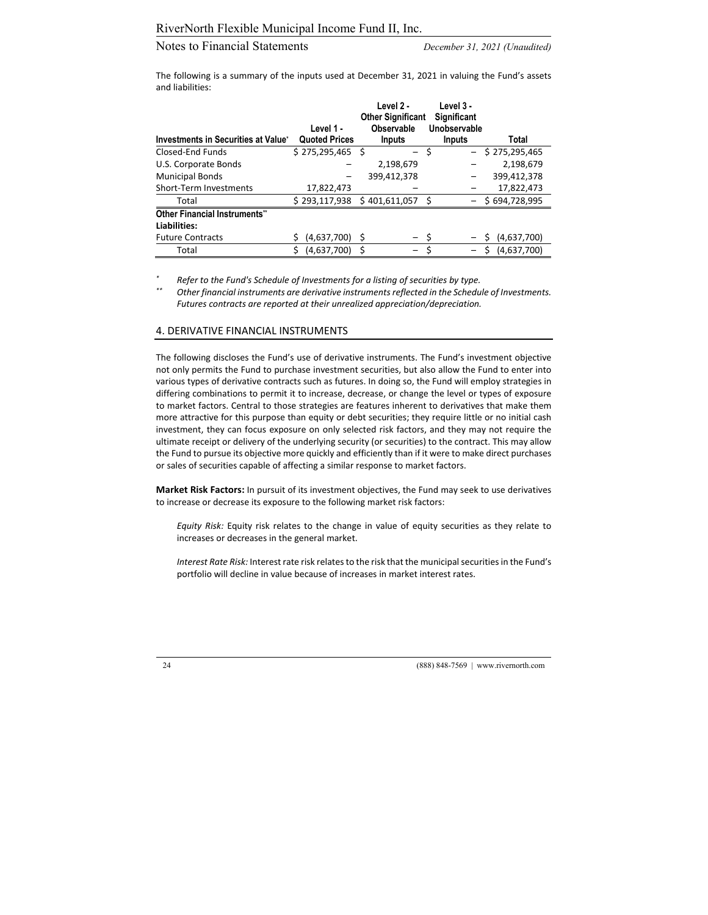The following is a summary of the inputs used at December 31, 2021 in valuing the Fund's assets and liabilities:

|                                                     | Level 1 -            | Level 2 -<br><b>Other Significant</b><br>Observable | Level 3 -<br><b>Significant</b><br>Unobservable |                    |
|-----------------------------------------------------|----------------------|-----------------------------------------------------|-------------------------------------------------|--------------------|
| Investments in Securities at Value*                 | <b>Quoted Prices</b> | <b>Inputs</b>                                       | <b>Inputs</b>                                   | Total              |
| Closed-End Funds                                    | $$275,295,465$ \$    | $-$                                                 | Ś                                               | $-$ \$ 275,295,465 |
| U.S. Corporate Bonds                                |                      | 2,198,679                                           |                                                 | 2,198,679          |
| <b>Municipal Bonds</b>                              |                      | 399.412.378                                         |                                                 | 399,412,378        |
| Short-Term Investments                              | 17,822,473           |                                                     |                                                 | 17,822,473         |
| Total                                               | \$293,117,938        | \$401,611,057                                       |                                                 | \$694,728,995      |
| <b>Other Financial Instruments"</b><br>Liabilities: |                      |                                                     |                                                 |                    |
| <b>Future Contracts</b>                             | (4,637,700)          | - \$<br>- \$                                        |                                                 | (4,637,700)        |
| Total                                               | Ś<br>(4,637,700)     |                                                     |                                                 | (4,637,700)<br>Ś   |

*\* Refer to the Fund's Schedule of Investments for a listing of securities by type.*

*\*\* Other financial instruments are derivative instrumentsreflected in the Schedule of Investments. Futures contracts are reported at their unrealized appreciation/depreciation.*

### 4. DERIVATIVE FINANCIAL INSTRUMENTS

The following discloses the Fund's use of derivative instruments. The Fund's investment objective not only permits the Fund to purchase investment securities, but also allow the Fund to enter into various types of derivative contracts such as futures. In doing so, the Fund will employ strategies in differing combinations to permit it to increase, decrease, or change the level or types of exposure to market factors. Central to those strategies are features inherent to derivatives that make them more attractive for this purpose than equity or debt securities; they require little or no initial cash investment, they can focus exposure on only selected risk factors, and they may not require the ultimate receipt or delivery of the underlying security (or securities) to the contract. This may allow the Fund to pursue its objective more quickly and efficiently than if it were to make direct purchases or sales of securities capable of affecting a similar response to market factors.

**Market Risk Factors:** In pursuit of its investment objectives, the Fund may seek to use derivatives to increase or decrease its exposure to the following market risk factors:

*Equity Risk:* Equity risk relates to the change in value of equity securities as they relate to increases or decreases in the general market.

*Interest Rate Risk:* Interest rate risk relates to the risk that the municipal securities in the Fund's portfolio will decline in value because of increases in market interest rates.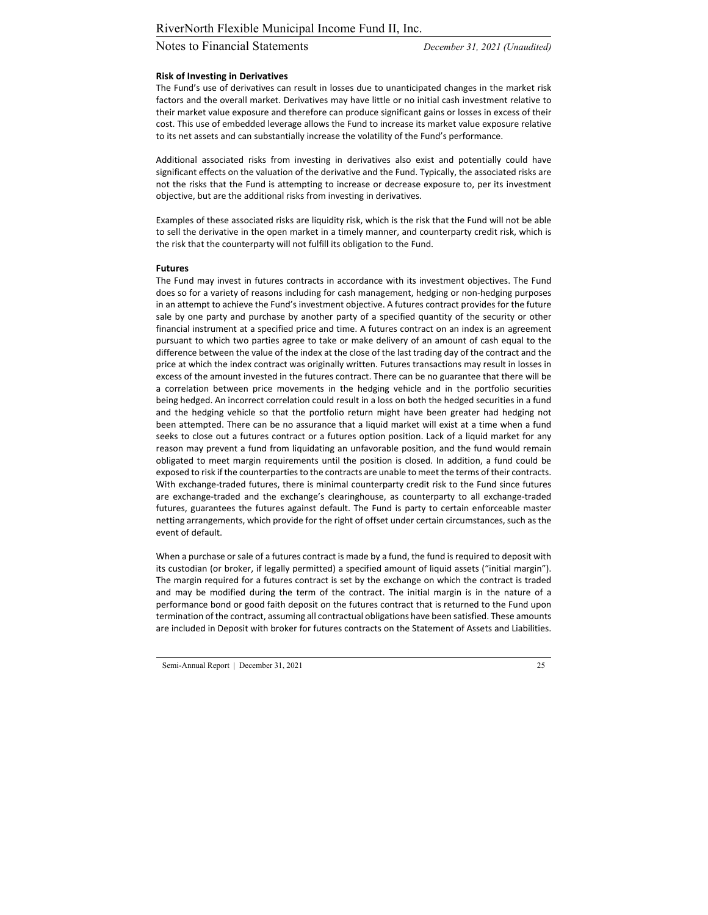# Notes to Financial Statements *December 31, 2021 (Unaudited)*

#### **Risk of Investing in Derivatives**

The Fund's use of derivatives can result in losses due to unanticipated changes in the market risk factors and the overall market. Derivatives may have little or no initial cash investment relative to their market value exposure and therefore can produce significant gains or losses in excess of their cost. This use of embedded leverage allows the Fund to increase its market value exposure relative to its net assets and can substantially increase the volatility of the Fund's performance.

Additional associated risks from investing in derivatives also exist and potentially could have significant effects on the valuation of the derivative and the Fund. Typically, the associated risks are not the risks that the Fund is attempting to increase or decrease exposure to, per its investment objective, but are the additional risks from investing in derivatives.

Examples of these associated risks are liquidity risk, which is the risk that the Fund will not be able to sell the derivative in the open market in a timely manner, and counterparty credit risk, which is the risk that the counterparty will not fulfill its obligation to the Fund.

#### **Futures**

The Fund may invest in futures contracts in accordance with its investment objectives. The Fund does so for a variety of reasons including for cash management, hedging or non‐hedging purposes in an attempt to achieve the Fund's investment objective. A futures contract provides for the future sale by one party and purchase by another party of a specified quantity of the security or other financial instrument at a specified price and time. A futures contract on an index is an agreement pursuant to which two parties agree to take or make delivery of an amount of cash equal to the difference between the value of the index at the close of the last trading day of the contract and the price at which the index contract was originally written. Futures transactions may result in losses in excess of the amount invested in the futures contract. There can be no guarantee that there will be a correlation between price movements in the hedging vehicle and in the portfolio securities being hedged. An incorrect correlation could result in a loss on both the hedged securities in a fund and the hedging vehicle so that the portfolio return might have been greater had hedging not been attempted. There can be no assurance that a liquid market will exist at a time when a fund seeks to close out a futures contract or a futures option position. Lack of a liquid market for any reason may prevent a fund from liquidating an unfavorable position, and the fund would remain obligated to meet margin requirements until the position is closed. In addition, a fund could be exposed to risk if the counterparties to the contracts are unable to meet the terms of their contracts. With exchange-traded futures, there is minimal counterparty credit risk to the Fund since futures are exchange‐traded and the exchange's clearinghouse, as counterparty to all exchange‐traded futures, guarantees the futures against default. The Fund is party to certain enforceable master netting arrangements, which provide for the right of offset under certain circumstances, such as the event of default.

When a purchase or sale of a futures contract is made by a fund, the fund is required to deposit with its custodian (or broker, if legally permitted) a specified amount of liquid assets ("initial margin"). The margin required for a futures contract is set by the exchange on which the contract is traded and may be modified during the term of the contract. The initial margin is in the nature of a performance bond or good faith deposit on the futures contract that is returned to the Fund upon termination ofthe contract, assuming all contractual obligations have been satisfied. These amounts are included in Deposit with broker for futures contracts on the Statement of Assets and Liabilities.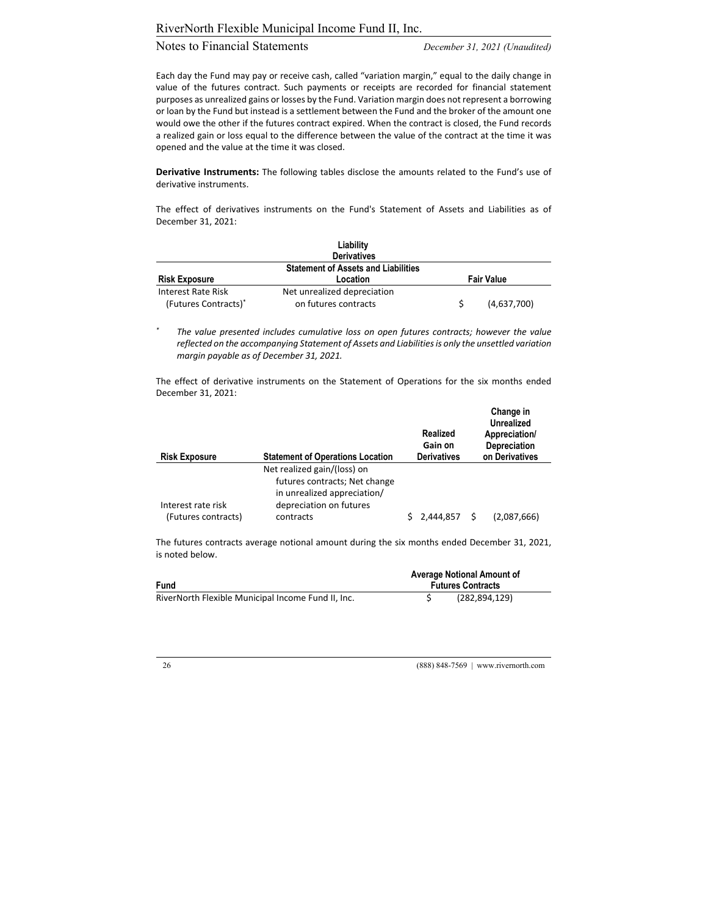# Notes to Financial Statements *December 31, 2021 (Unaudited)*

Each day the Fund may pay or receive cash, called "variation margin," equal to the daily change in value of the futures contract. Such payments or receipts are recorded for financial statement purposes as unrealized gains or losses by the Fund. Variation margin does not represent a borrowing or loan by the Fund but instead is a settlement between the Fund and the broker of the amount one would owe the other if the futures contract expired. When the contract is closed, the Fund records a realized gain or loss equal to the difference between the value of the contract at the time it was opened and the value at the time it was closed.

**Derivative Instruments:** The following tables disclose the amounts related to the Fund's use of derivative instruments.

The effect of derivatives instruments on the Fund's Statement of Assets and Liabilities as of December 31, 2021:

|                      | Liability                                  |                   |
|----------------------|--------------------------------------------|-------------------|
|                      | <b>Derivatives</b>                         |                   |
|                      | <b>Statement of Assets and Liabilities</b> |                   |
| <b>Risk Exposure</b> | Location                                   | <b>Fair Value</b> |
| Interest Rate Risk   | Net unrealized depreciation                |                   |
| (Futures Contracts)* | on futures contracts                       | (4,637,700)       |

*\* The value presented includes cumulative loss on open futures contracts; however the value reflected on the accompanying Statement of Assets and Liabilitiesis only the unsettled variation margin payable as of December 31, 2021.*

The effect of derivative instruments on the Statement of Operations for the six months ended December 31, 2021:

|                      |                                         | Realized<br>Gain on |   | Change in<br>Unrealized<br>Appreciation/<br>Depreciation |
|----------------------|-----------------------------------------|---------------------|---|----------------------------------------------------------|
| <b>Risk Exposure</b> | <b>Statement of Operations Location</b> | <b>Derivatives</b>  |   | on Derivatives                                           |
|                      | Net realized gain/(loss) on             |                     |   |                                                          |
|                      | futures contracts; Net change           |                     |   |                                                          |
|                      | in unrealized appreciation/             |                     |   |                                                          |
| Interest rate risk   | depreciation on futures                 |                     |   |                                                          |
| (Futures contracts)  | contracts                               | \$2.444.857         | Ŝ | (2,087,666)                                              |

The futures contracts average notional amount during the six months ended December 31, 2021, is noted below.

| <b>Fund</b>                                        | Average Notional Amount of<br><b>Futures Contracts</b> |                 |  |
|----------------------------------------------------|--------------------------------------------------------|-----------------|--|
| RiverNorth Flexible Municipal Income Fund II, Inc. |                                                        | (282, 894, 129) |  |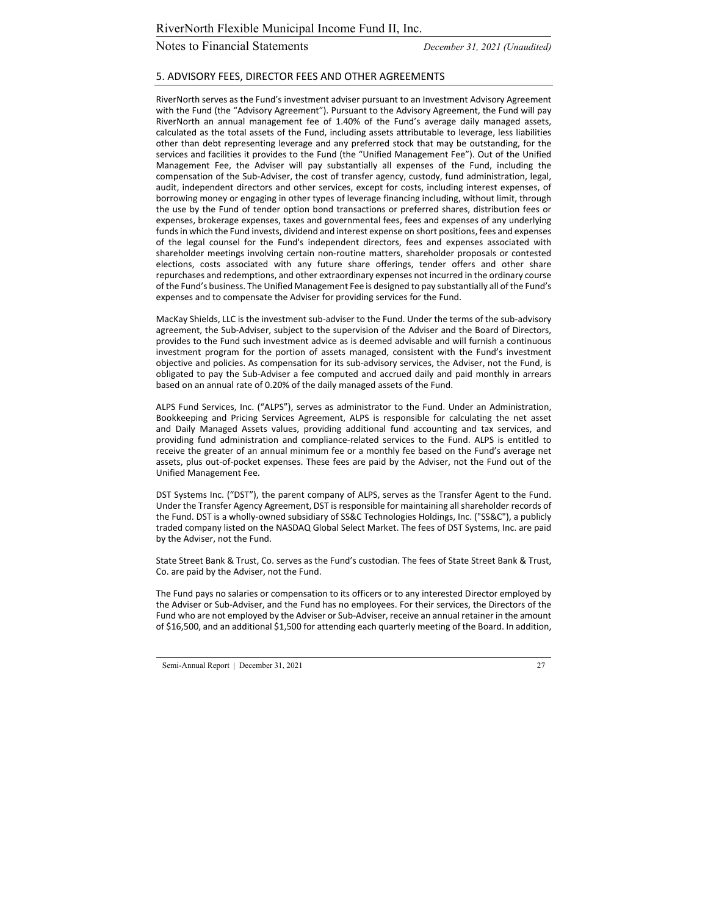### 5. ADVISORY FEES, DIRECTOR FEES AND OTHER AGREEMENTS

RiverNorth serves as the Fund's investment adviser pursuant to an Investment Advisory Agreement with the Fund (the "Advisory Agreement"). Pursuant to the Advisory Agreement, the Fund will pay RiverNorth an annual management fee of 1.40% of the Fund's average daily managed assets, calculated as the total assets of the Fund, including assets attributable to leverage, less liabilities other than debt representing leverage and any preferred stock that may be outstanding, for the services and facilities it provides to the Fund (the "Unified Management Fee"). Out of the Unified Management Fee, the Adviser will pay substantially all expenses of the Fund, including the compensation of the Sub‐Adviser, the cost of transfer agency, custody, fund administration, legal, audit, independent directors and other services, except for costs, including interest expenses, of borrowing money or engaging in other types of leverage financing including, without limit, through the use by the Fund of tender option bond transactions or preferred shares, distribution fees or expenses, brokerage expenses, taxes and governmental fees, fees and expenses of any underlying funds in which the Fund invests, dividend and interest expense on short positions, fees and expenses of the legal counsel for the Fund's independent directors, fees and expenses associated with shareholder meetings involving certain non‐routine matters, shareholder proposals or contested elections, costs associated with any future share offerings, tender offers and other share repurchases and redemptions, and other extraordinary expenses not incurred in the ordinary course ofthe Fund's business. The Unified Management Fee is designed to pay substantially all ofthe Fund's expenses and to compensate the Adviser for providing services for the Fund.

MacKay Shields, LLC is the investment sub‐adviser to the Fund. Under the terms of the sub‐advisory agreement, the Sub‐Adviser, subject to the supervision of the Adviser and the Board of Directors, provides to the Fund such investment advice as is deemed advisable and will furnish a continuous investment program for the portion of assets managed, consistent with the Fund's investment objective and policies. As compensation for its sub‐advisory services, the Adviser, not the Fund, is obligated to pay the Sub‐Adviser a fee computed and accrued daily and paid monthly in arrears based on an annual rate of 0.20% of the daily managed assets of the Fund.

ALPS Fund Services, Inc. ("ALPS"), serves as administrator to the Fund. Under an Administration, Bookkeeping and Pricing Services Agreement, ALPS is responsible for calculating the net asset and Daily Managed Assets values, providing additional fund accounting and tax services, and providing fund administration and compliance‐related services to the Fund. ALPS is entitled to receive the greater of an annual minimum fee or a monthly fee based on the Fund's average net assets, plus out‐of‐pocket expenses. These fees are paid by the Adviser, not the Fund out of the Unified Management Fee.

DST Systems Inc. ("DST"), the parent company of ALPS, serves as the Transfer Agent to the Fund. Under the Transfer Agency Agreement, DST is responsible for maintaining allshareholder records of the Fund. DST is a wholly‐owned subsidiary of SS&C Technologies Holdings, Inc. ("SS&C"), a publicly traded company listed on the NASDAQ Global Select Market. The fees of DST Systems, Inc. are paid by the Adviser, not the Fund.

State Street Bank & Trust, Co. serves as the Fund's custodian. The fees of State Street Bank & Trust, Co. are paid by the Adviser, not the Fund.

The Fund pays no salaries or compensation to its officers or to any interested Director employed by the Adviser or Sub‐Adviser, and the Fund has no employees. For their services, the Directors of the Fund who are not employed by the Adviser or Sub‐Adviser, receive an annual retainer in the amount of \$16,500, and an additional \$1,500 for attending each quarterly meeting of the Board. In addition,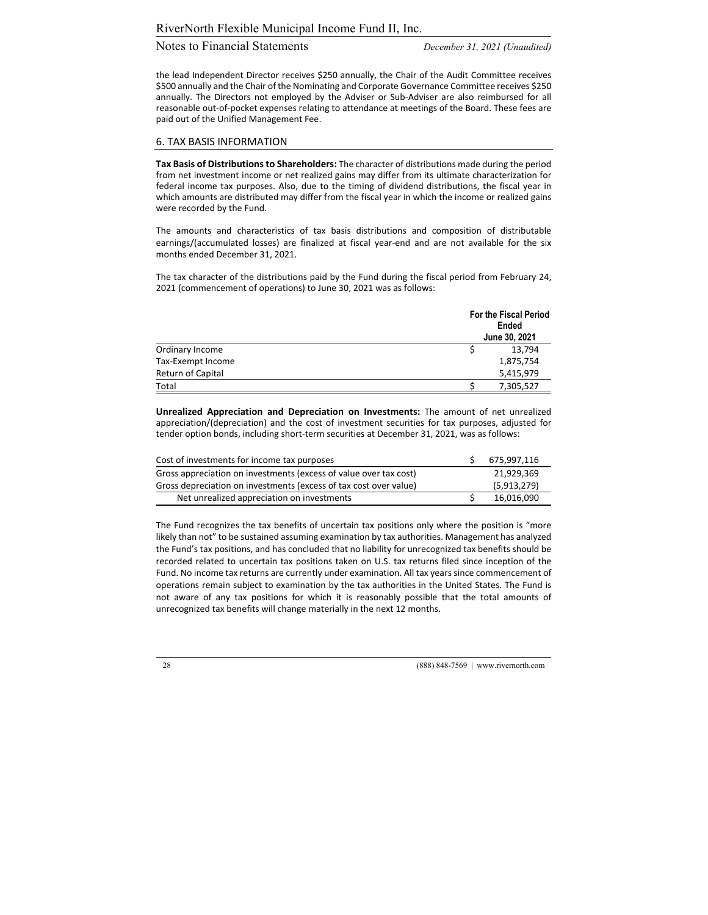the lead Independent Director receives \$250 annually, the Chair of the Audit Committee receives \$500 annually and the Chair of the Nominating and Corporate Governance Committee receives \$250 annually. The Directors not employed by the Adviser or Sub‐Adviser are also reimbursed for all reasonable out‐of‐pocket expenses relating to attendance at meetings of the Board. These fees are paid out of the Unified Management Fee.

#### 6. TAX BASIS INFORMATION

**Tax Basis of Distributionsto Shareholders:** The character of distributions made during the period from net investment income or net realized gains may differ from its ultimate characterization for federal income tax purposes. Also, due to the timing of dividend distributions, the fiscal year in which amounts are distributed may differ from the fiscal year in which the income or realized gains were recorded by the Fund.

The amounts and characteristics of tax basis distributions and composition of distributable earnings/(accumulated losses) are finalized at fiscal year-end and are not available for the six months ended December 31, 2021.

The tax character of the distributions paid by the Fund during the fiscal period from February 24, 2021 (commencement of operations) to June 30, 2021 was as follows:

|                   | <b>For the Fiscal Period</b><br>Ended<br>June 30, 2021 |
|-------------------|--------------------------------------------------------|
| Ordinary Income   | 13,794                                                 |
| Tax-Exempt Income | 1,875,754                                              |
| Return of Capital | 5,415,979                                              |
| Total             | 7,305,527                                              |

**Unrealized Appreciation and Depreciation on Investments:** The amount of net unrealized appreciation/(depreciation) and the cost of investment securities for tax purposes, adjusted for tender option bonds, including short‐term securities at December 31, 2021, was as follows:

| Cost of investments for income tax purposes                       | 675,997,116 |
|-------------------------------------------------------------------|-------------|
| Gross appreciation on investments (excess of value over tax cost) | 21,929,369  |
| Gross depreciation on investments (excess of tax cost over value) | (5,913,279) |
| Net unrealized appreciation on investments                        | 16,016,090  |

The Fund recognizes the tax benefits of uncertain tax positions only where the position is "more likely than not" to be sustained assuming examination by tax authorities. Management has analyzed the Fund's tax positions, and has concluded that no liability for unrecognized tax benefits should be recorded related to uncertain tax positions taken on U.S. tax returns filed since inception of the Fund. No income tax returns are currently under examination. All tax years since commencement of operations remain subject to examination by the tax authorities in the United States. The Fund is not aware of any tax positions for which it is reasonably possible that the total amounts of unrecognized tax benefits will change materially in the next 12 months.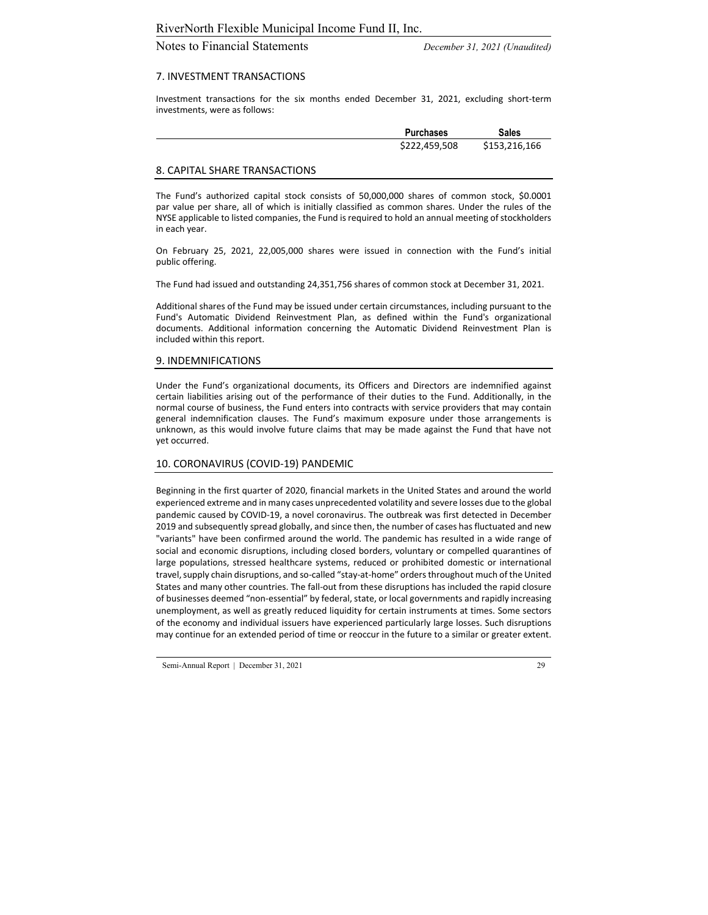# Notes to Financial Statements *December 31, 2021 (Unaudited)*

#### 7. INVESTMENT TRANSACTIONS

Investment transactions for the six months ended December 31, 2021, excluding short‐term investments, were as follows:

| <b>Purchases</b> | <b>Sales</b>  |
|------------------|---------------|
| \$222,459,508    | \$153,216,166 |

#### 8. CAPITAL SHARE TRANSACTIONS

The Fund's authorized capital stock consists of 50,000,000 shares of common stock, \$0.0001 par value per share, all of which is initially classified as common shares. Under the rules of the NYSE applicable to listed companies, the Fund is required to hold an annual meeting of stockholders in each year.

On February 25, 2021, 22,005,000 shares were issued in connection with the Fund's initial public offering.

The Fund had issued and outstanding 24,351,756 shares of common stock at December 31, 2021.

Additional shares of the Fund may be issued under certain circumstances, including pursuant to the Fund's Automatic Dividend Reinvestment Plan, as defined within the Fund's organizational documents. Additional information concerning the Automatic Dividend Reinvestment Plan is included within this report.

#### 9. INDEMNIFICATIONS

Under the Fund's organizational documents, its Officers and Directors are indemnified against certain liabilities arising out of the performance of their duties to the Fund. Additionally, in the normal course of business, the Fund enters into contracts with service providers that may contain general indemnification clauses. The Fund's maximum exposure under those arrangements is unknown, as this would involve future claims that may be made against the Fund that have not yet occurred.

#### 10. CORONAVIRUS (COVID‐19) PANDEMIC

Beginning in the first quarter of 2020, financial markets in the United States and around the world experienced extreme and in many cases unprecedented volatility and severe losses due to the global pandemic caused by COVID‐19, a novel coronavirus. The outbreak was first detected in December 2019 and subsequently spread globally, and since then, the number of cases has fluctuated and new "variants" have been confirmed around the world. The pandemic has resulted in a wide range of social and economic disruptions, including closed borders, voluntary or compelled quarantines of large populations, stressed healthcare systems, reduced or prohibited domestic or international travel, supply chain disruptions, and so-called "stay-at-home" orders throughout much of the United States and many other countries. The fall-out from these disruptions has included the rapid closure of businesses deemed "non-essential" by federal, state, or local governments and rapidly increasing unemployment, as well as greatly reduced liquidity for certain instruments at times. Some sectors of the economy and individual issuers have experienced particularly large losses. Such disruptions may continue for an extended period of time or reoccur in the future to a similar or greater extent.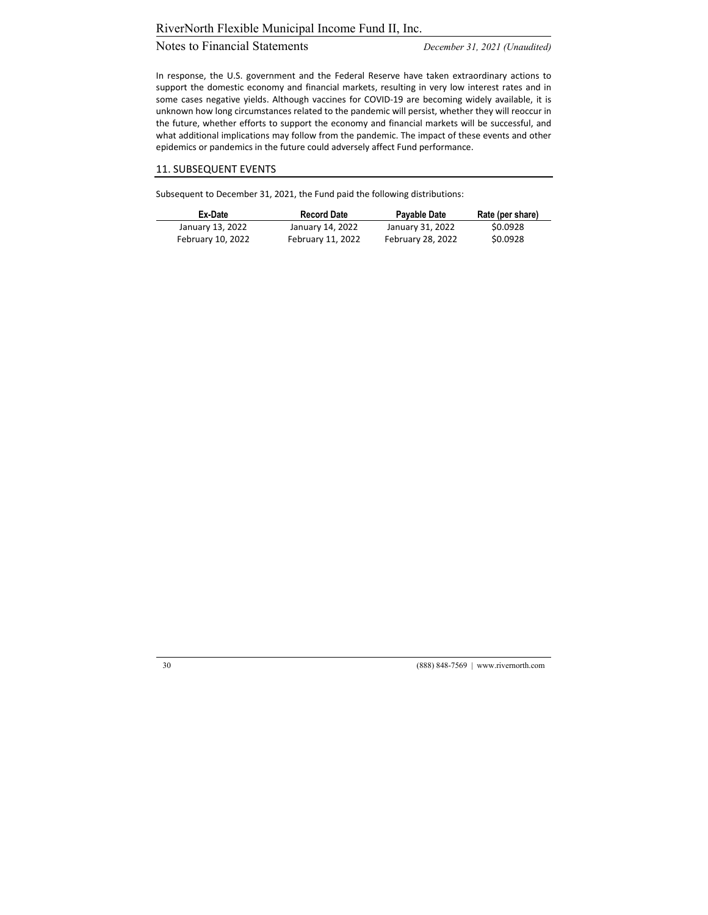# Notes to Financial Statements *December 31, 2021 (Unaudited)*

In response, the U.S. government and the Federal Reserve have taken extraordinary actions to support the domestic economy and financial markets, resulting in very low interest rates and in some cases negative yields. Although vaccines for COVID-19 are becoming widely available, it is unknown how long circumstances related to the pandemic will persist, whether they will reoccur in the future, whether efforts to support the economy and financial markets will be successful, and what additional implications may follow from the pandemic. The impact of these events and other epidemics or pandemics in the future could adversely affect Fund performance.

#### 11. SUBSEQUENT EVENTS

Subsequent to December 31, 2021, the Fund paid the following distributions:

| Ex-Date           | <b>Record Date</b> | Payable Date      | Rate (per share) |
|-------------------|--------------------|-------------------|------------------|
| January 13, 2022  | January 14, 2022   | January 31, 2022  | \$0.0928         |
| February 10, 2022 | February 11, 2022  | February 28, 2022 | \$0.0928         |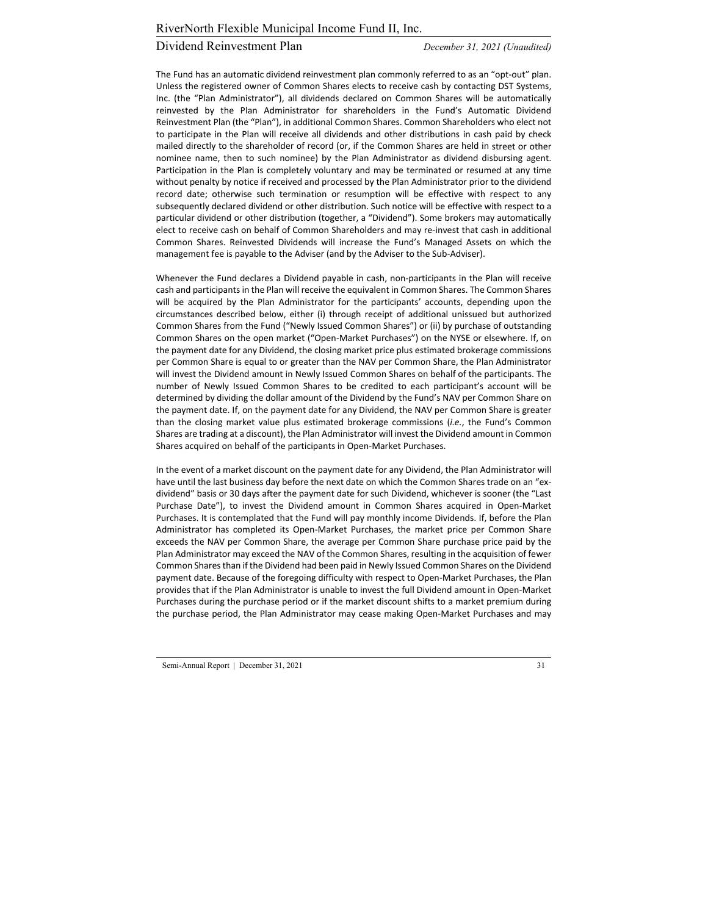# Dividend Reinvestment Plan *December 31, 2021 (Unaudited)*

The Fund has an automatic dividend reinvestment plan commonly referred to as an "opt-out" plan. Unless the registered owner of Common Shares elects to receive cash by contacting DST Systems, Inc. (the "Plan Administrator"), all dividends declared on Common Shares will be automatically reinvested by the Plan Administrator for shareholders in the Fund's Automatic Dividend Reinvestment Plan (the "Plan"), in additional Common Shares. Common Shareholders who elect not to participate in the Plan will receive all dividends and other distributions in cash paid by check mailed directly to the shareholder of record (or, if the Common Shares are held in street or other nominee name, then to such nominee) by the Plan Administrator as dividend disbursing agent. Participation in the Plan is completely voluntary and may be terminated or resumed at any time without penalty by notice if received and processed by the Plan Administrator prior to the dividend record date; otherwise such termination or resumption will be effective with respect to any subsequently declared dividend or other distribution. Such notice will be effective with respect to a particular dividend or other distribution (together, a "Dividend"). Some brokers may automatically elect to receive cash on behalf of Common Shareholders and may re‐invest that cash in additional Common Shares. Reinvested Dividends will increase the Fund's Managed Assets on which the management fee is payable to the Adviser (and by the Adviser to the Sub‐Adviser).

Whenever the Fund declares a Dividend payable in cash, non-participants in the Plan will receive cash and participants in the Plan will receive the equivalent in Common Shares. The Common Shares will be acquired by the Plan Administrator for the participants' accounts, depending upon the circumstances described below, either (i) through receipt of additional unissued but authorized Common Shares from the Fund ("Newly Issued Common Shares") or (ii) by purchase of outstanding Common Shares on the open market ("Open‐Market Purchases") on the NYSE or elsewhere. If, on the payment date for any Dividend, the closing market price plus estimated brokerage commissions per Common Share is equal to or greater than the NAV per Common Share, the Plan Administrator will invest the Dividend amount in Newly Issued Common Shares on behalf of the participants. The number of Newly Issued Common Shares to be credited to each participant's account will be determined by dividing the dollar amount of the Dividend by the Fund's NAV per Common Share on the payment date. If, on the payment date for any Dividend, the NAV per Common Share is greater than the closing market value plus estimated brokerage commissions (*i.e.*, the Fund's Common Shares are trading at a discount), the Plan Administrator will invest the Dividend amount in Common Shares acquired on behalf of the participants in Open‐Market Purchases.

In the event of a market discount on the payment date for any Dividend, the Plan Administrator will have until the last business day before the next date on which the Common Shares trade on an "exdividend" basis or 30 days after the payment date for such Dividend, whichever is sooner (the "Last Purchase Date"), to invest the Dividend amount in Common Shares acquired in Open‐Market Purchases. It is contemplated that the Fund will pay monthly income Dividends. If, before the Plan Administrator has completed its Open‐Market Purchases, the market price per Common Share exceeds the NAV per Common Share, the average per Common Share purchase price paid by the Plan Administrator may exceed the NAV of the Common Shares, resulting in the acquisition of fewer Common Sharesthan if the Dividend had been paid in Newly Issued Common Shares on the Dividend payment date. Because of the foregoing difficulty with respect to Open‐Market Purchases, the Plan provides that if the Plan Administrator is unable to invest the full Dividend amount in Open‐Market Purchases during the purchase period or if the market discount shifts to a market premium during the purchase period, the Plan Administrator may cease making Open‐Market Purchases and may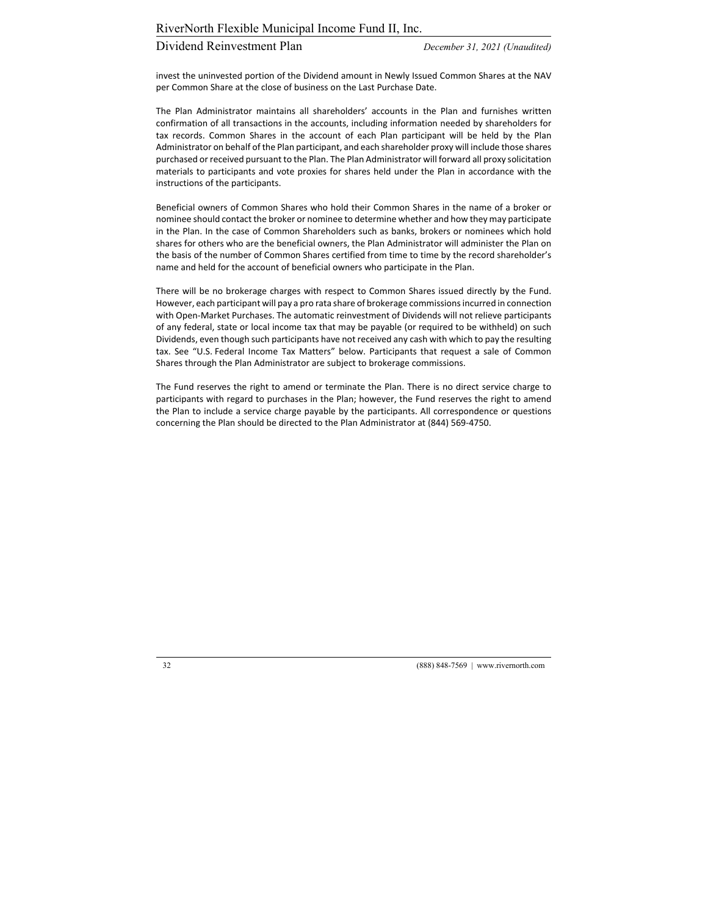# Dividend Reinvestment Plan *December 31, 2021 (Unaudited)*

invest the uninvested portion of the Dividend amount in Newly Issued Common Shares at the NAV per Common Share at the close of business on the Last Purchase Date.

The Plan Administrator maintains all shareholders' accounts in the Plan and furnishes written confirmation of all transactions in the accounts, including information needed by shareholders for tax records. Common Shares in the account of each Plan participant will be held by the Plan Administrator on behalf of the Plan participant, and each shareholder proxy will include those shares purchased or received pursuant to the Plan. The Plan Administrator will forward all proxy solicitation materials to participants and vote proxies for shares held under the Plan in accordance with the instructions of the participants.

Beneficial owners of Common Shares who hold their Common Shares in the name of a broker or nominee should contact the broker or nominee to determine whether and how they may participate in the Plan. In the case of Common Shareholders such as banks, brokers or nominees which hold shares for others who are the beneficial owners, the Plan Administrator will administer the Plan on the basis of the number of Common Shares certified from time to time by the record shareholder's name and held for the account of beneficial owners who participate in the Plan.

There will be no brokerage charges with respect to Common Shares issued directly by the Fund. However, each participant will pay a pro rata share of brokerage commissionsincurred in connection with Open‐Market Purchases. The automatic reinvestment of Dividends will not relieve participants of any federal, state or local income tax that may be payable (or required to be withheld) on such Dividends, even though such participants have not received any cash with which to pay the resulting tax. See "U.S. Federal Income Tax Matters" below. Participants that request a sale of Common Shares through the Plan Administrator are subject to brokerage commissions.

The Fund reserves the right to amend or terminate the Plan. There is no direct service charge to participants with regard to purchases in the Plan; however, the Fund reserves the right to amend the Plan to include a service charge payable by the participants. All correspondence or questions concerning the Plan should be directed to the Plan Administrator at (844) 569‐4750.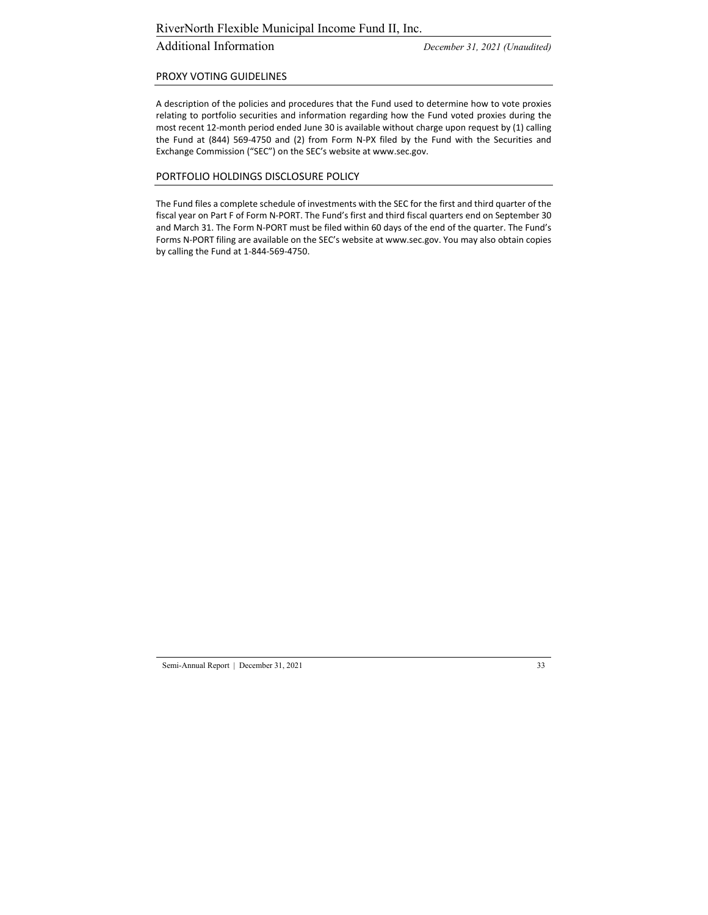# Additional Information *December 31, 2021 (Unaudited)*

#### PROXY VOTING GUIDELINES

A description of the policies and procedures that the Fund used to determine how to vote proxies relating to portfolio securities and information regarding how the Fund voted proxies during the most recent 12‐month period ended June 30 is available without charge upon request by (1) calling the Fund at (844) 569‐4750 and (2) from Form N‐PX filed by the Fund with the Securities and Exchange Commission ("SEC") on the SEC's website at www.sec.gov.

#### PORTFOLIO HOLDINGS DISCLOSURE POLICY

The Fund files a complete schedule of investments with the SEC for the first and third quarter of the fiscal year on Part F of Form N‐PORT. The Fund's first and third fiscal quarters end on September 30 and March 31. The Form N‐PORT must be filed within 60 days of the end of the quarter. The Fund's Forms N‐PORT filing are available on the SEC's website at www.sec.gov. You may also obtain copies by calling the Fund at 1‐844‐569‐4750.